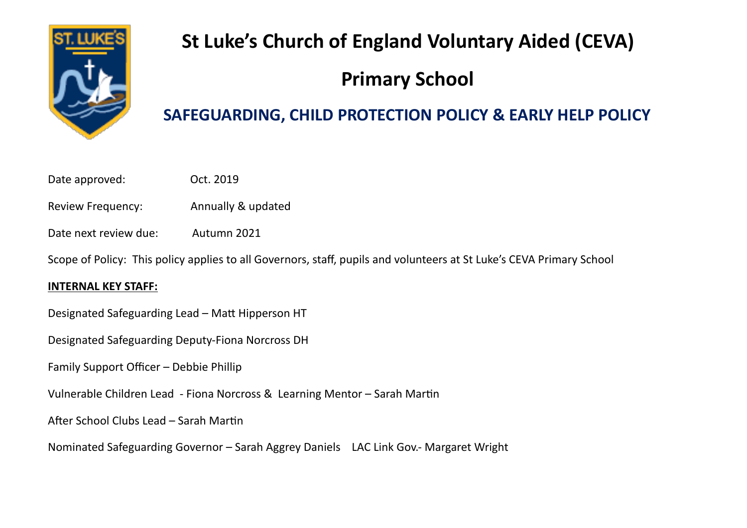

# **St Luke's Church of England Voluntary Aided (CEVA)**

# **Primary School**

# **SAFEGUARDING, CHILD PROTECTION POLICY & EARLY HELP POLICY**

- Date approved: 0ct. 2019
- Review Frequency:                 Annually & updated
- Date next review due: Autumn 2021

Scope of Policy: This policy applies to all Governors, staff, pupils and volunteers at St Luke's CEVA Primary School

# **INTERNAL KEY STAFF:**

Designated Safeguarding Lead – Matt Hipperson HT

Designated Safeguarding Deputy-Fiona Norcross DH

Family Support Officer – Debbie Phillip

Vulnerable Children Lead - Fiona Norcross & Learning Mentor – Sarah Martin

After School Clubs Lead – Sarah Martin

Nominated Safeguarding Governor – Sarah Aggrey Daniels LAC Link Gov.- Margaret Wright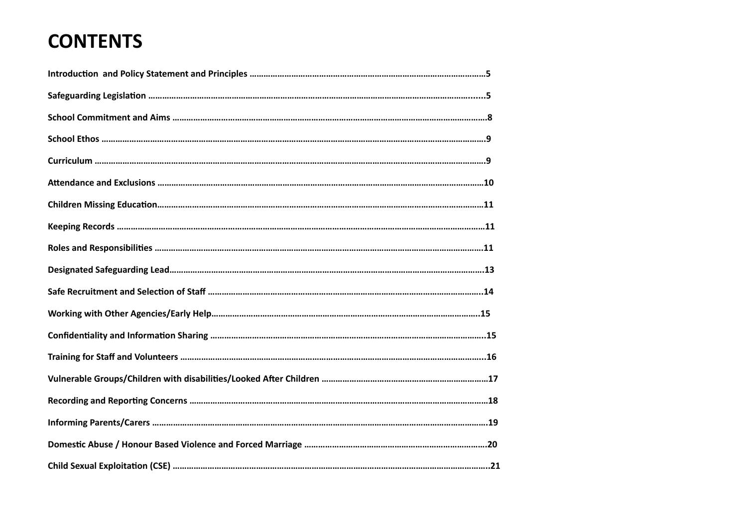# **CONTENTS**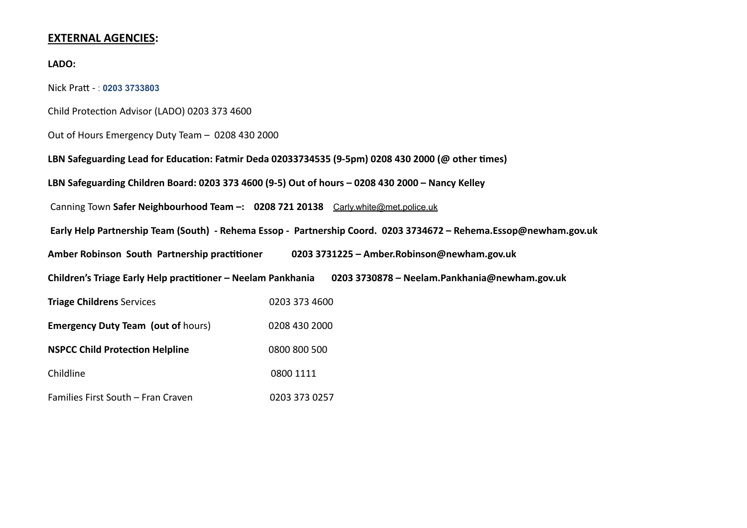#### **EXTERNAL AGENCIES:**

#### **LADO:**

Nick Pratt - : **0203 3733803**

Child Protection Advisor (LADO) 0203 373 4600

Out of Hours Emergency Duty Team – 0208 430 2000

**LBN Safeguarding Lead for Education: Fatmir Deda 02033734535 (9-5pm) 0208 430 2000 (@ other times)**

**LBN Safeguarding Children Board: 0203 373 4600 (9-5) Out of hours – 0208 430 2000 – Nancy Kelley**

Canning Town **Safer Neighbourhood Team –: 0208 721 20138** [Carly.white@met.police.uk](mailto:Carly.white@met.police.uk)

 **Early Help Partnership Team (South) - Rehema Essop - Partnership Coord. 0203 3734672 – Rehema.Essop@newham.gov.uk**

**Amber Robinson South Partnership practitioner 0203 3731225 – Amber.Robinson@newham.gov.uk** 

**Children's Triage Early Help practitioner – Neelam Pankhania 0203 3730878 – Neelam.Pankhania@newham.gov.uk** 

| <b>Triage Childrens Services</b>          | 0203 373 4600 |
|-------------------------------------------|---------------|
| <b>Emergency Duty Team (out of hours)</b> | 0208 430 2000 |
| <b>NSPCC Child Protection Helpline</b>    | 0800 800 500  |
| Childline                                 | 0800 1111     |
| Families First South - Fran Craven        | 0203 373 0257 |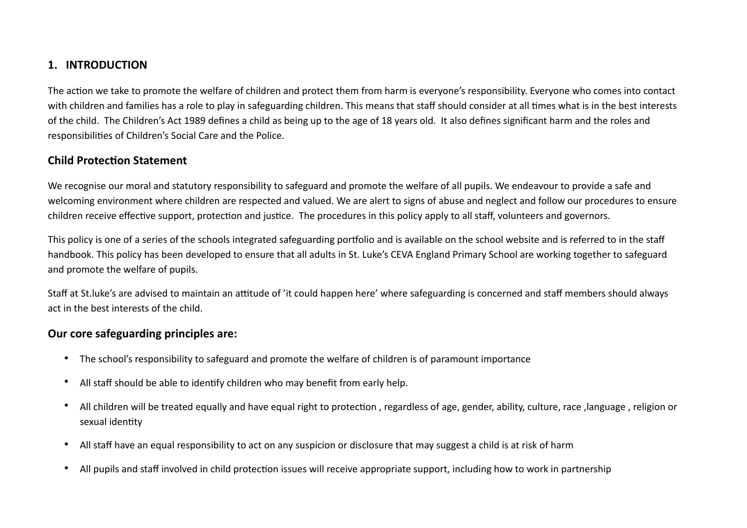#### **1.   INTRODUCTION**

The action we take to promote the welfare of children and protect them from harm is everyone's responsibility. Everyone who comes into contact with children and families has a role to play in safeguarding children. This means that staff should consider at all times what is in the best interests of the child. The Children's Act 1989 defines a child as being up to the age of 18 years old. It also defines significant harm and the roles and responsibilities of Children's Social Care and the Police.

#### **Child Protection Statement**

We recognise our moral and statutory responsibility to safeguard and promote the welfare of all pupils. We endeavour to provide a safe and welcoming environment where children are respected and valued. We are alert to signs of abuse and neglect and follow our procedures to ensure children receive effective support, protection and justice. The procedures in this policy apply to all staff, volunteers and governors.

This policy is one of a series of the schools integrated safeguarding portfolio and is available on the school website and is referred to in the staff handbook. This policy has been developed to ensure that all adults in St. Luke's CEVA England Primary School are working together to safeguard and promote the welfare of pupils.

Staff at St.luke's are advised to maintain an attitude of 'it could happen here' where safeguarding is concerned and staff members should always act in the best interests of the child.

#### **Our core safeguarding principles are:**

- The school's responsibility to safeguard and promote the welfare of children is of paramount importance
- All staff should be able to identify children who may benefit from early help.
- All children will be treated equally and have equal right to protection , regardless of age, gender, ability, culture, race ,language , religion or sexual identity
- All staff have an equal responsibility to act on any suspicion or disclosure that may suggest a child is at risk of harm
- All pupils and staff involved in child protection issues will receive appropriate support, including how to work in partnership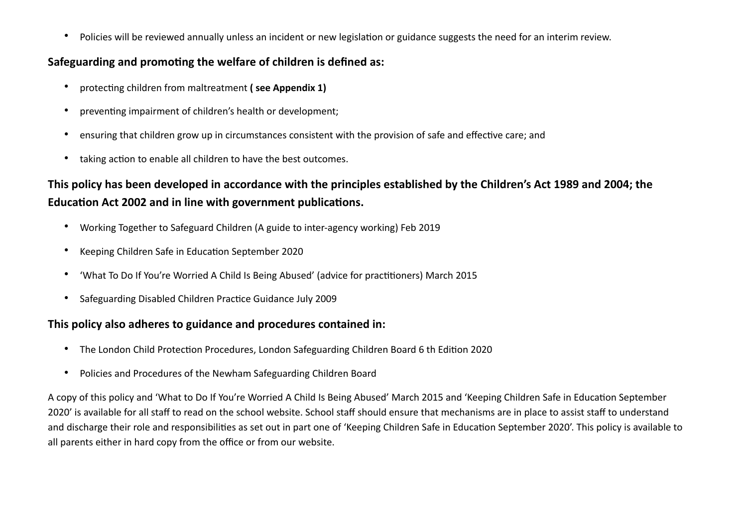• Policies will be reviewed annually unless an incident or new legislation or guidance suggests the need for an interim review.

#### **Safeguarding and promoting the welfare of children is defined as:**

- protecting children from maltreatment **( see Appendix 1)**
- preventing impairment of children's health or development;
- ensuring that children grow up in circumstances consistent with the provision of safe and effective care; and
- taking action to enable all children to have the best outcomes.

# **This policy has been developed in accordance with the principles established by the Children's Act 1989 and 2004; the Education Act 2002 and in line with government publications.**

- Working Together to Safeguard Children (A guide to inter-agency working) Feb 2019
- Keeping Children Safe in Education September 2020
- 'What To Do If You're Worried A Child Is Being Abused' (advice for practitioners) March 2015
- Safeguarding Disabled Children Practice Guidance July 2009

# **This policy also adheres to guidance and procedures contained in:**

- The London Child Protection Procedures, London Safeguarding Children Board 6 th Edition 2020
- Policies and Procedures of the Newham Safeguarding Children Board

A copy of this policy and 'What to Do If You're Worried A Child Is Being Abused' March 2015 and 'Keeping Children Safe in Education September 2020' is available for all staff to read on the school website. School staff should ensure that mechanisms are in place to assist staff to understand and discharge their role and responsibilities as set out in part one of 'Keeping Children Safe in Education September 2020'. This policy is available to all parents either in hard copy from the office or from our website.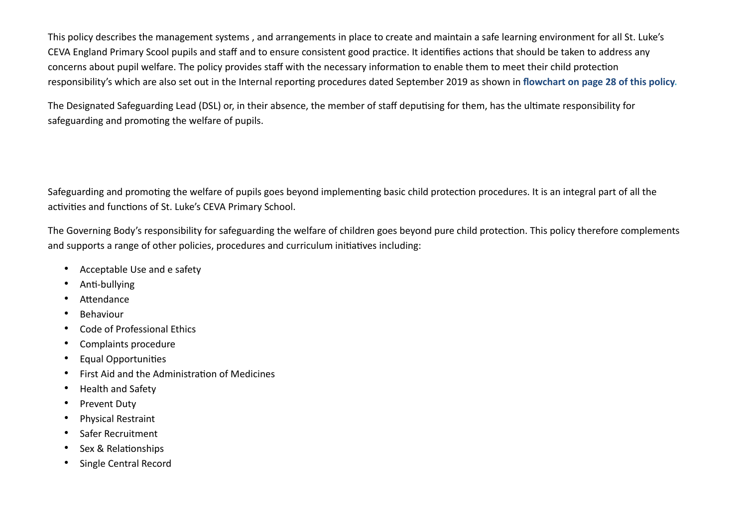This policy describes the management systems , and arrangements in place to create and maintain a safe learning environment for all St. Luke's CEVA England Primary Scool pupils and staff and to ensure consistent good practice. It identifies actions that should be taken to address any concerns about pupil welfare. The policy provides staff with the necessary information to enable them to meet their child protection responsibility's which are also set out in the Internal reporting procedures dated September 2019 as shown in **flowchart on page 28 of this policy.**

The Designated Safeguarding Lead (DSL) or, in their absence, the member of staff deputising for them, has the ultimate responsibility for safeguarding and promoting the welfare of pupils.

Safeguarding and promoting the welfare of pupils goes beyond implementing basic child protection procedures. It is an integral part of all the activities and functions of St. Luke's CEVA Primary School.

The Governing Body's responsibility for safeguarding the welfare of children goes beyond pure child protection. This policy therefore complements and supports a range of other policies, procedures and curriculum initiatives including:

- Acceptable Use and e safety
- Anti-bullying
- **Attendance**
- **Behaviour**
- Code of Professional Ethics
- Complaints procedure
- Equal Opportunities
- First Aid and the Administration of Medicines
- Health and Safety
- Prevent Duty
- Physical Restraint
- Safer Recruitment
- Sex & Relationships
- Single Central Record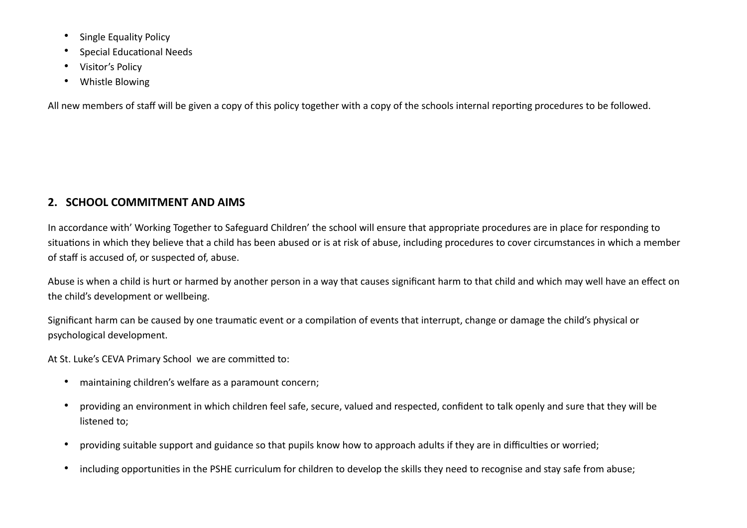- Single Equality Policy
- Special Educational Needs
- Visitor's Policy
- Whistle Blowing

All new members of staff will be given a copy of this policy together with a copy of the schools internal reporting procedures to be followed.

# **2.   SCHOOL COMMITMENT AND AIMS**

In accordance with' Working Together to Safeguard Children' the school will ensure that appropriate procedures are in place for responding to situations in which they believe that a child has been abused or is at risk of abuse, including procedures to cover circumstances in which a member of staff is accused of, or suspected of, abuse.

Abuse is when a child is hurt or harmed by another person in a way that causes significant harm to that child and which may well have an effect on the child's development or wellbeing.

Significant harm can be caused by one traumatic event or a compilation of events that interrupt, change or damage the child's physical or psychological development.

At St. Luke's CEVA Primary School we are committed to:

- maintaining children's welfare as a paramount concern;
- providing an environment in which children feel safe, secure, valued and respected, confident to talk openly and sure that they will be listened to;
- providing suitable support and guidance so that pupils know how to approach adults if they are in difficulties or worried;
- including opportunities in the PSHE curriculum for children to develop the skills they need to recognise and stay safe from abuse;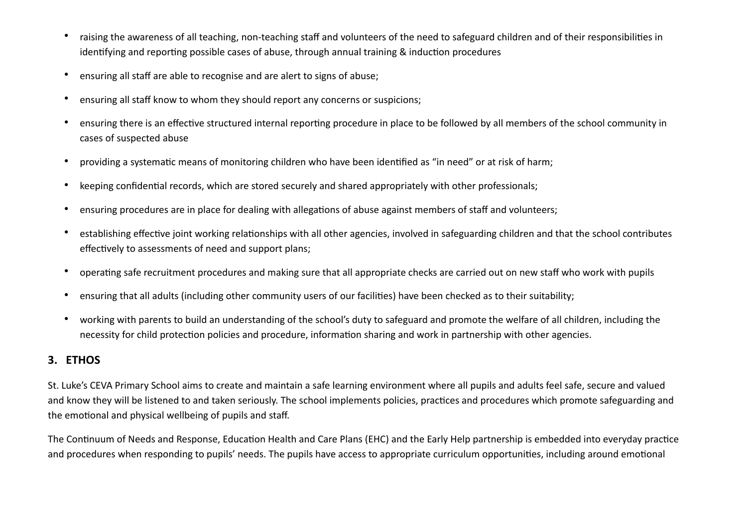- raising the awareness of all teaching, non-teaching staff and volunteers of the need to safeguard children and of their responsibilities in identifying and reporting possible cases of abuse, through annual training & induction procedures
- ensuring all staff are able to recognise and are alert to signs of abuse;
- ensuring all staff know to whom they should report any concerns or suspicions;
- ensuring there is an effective structured internal reporting procedure in place to be followed by all members of the school community in cases of suspected abuse
- providing a systematic means of monitoring children who have been identified as "in need" or at risk of harm;
- keeping confidential records, which are stored securely and shared appropriately with other professionals;
- ensuring procedures are in place for dealing with allegations of abuse against members of staff and volunteers;
- establishing effective joint working relationships with all other agencies, involved in safeguarding children and that the school contributes effectively to assessments of need and support plans;
- operating safe recruitment procedures and making sure that all appropriate checks are carried out on new staff who work with pupils
- ensuring that all adults (including other community users of our facilities) have been checked as to their suitability;
- working with parents to build an understanding of the school's duty to safeguard and promote the welfare of all children, including the necessity for child protection policies and procedure, information sharing and work in partnership with other agencies.

# **3.   ETHOS**

St. Luke's CEVA Primary School aims to create and maintain a safe learning environment where all pupils and adults feel safe, secure and valued and know they will be listened to and taken seriously. The school implements policies, practices and procedures which promote safeguarding and the emotional and physical wellbeing of pupils and staff.

The Continuum of Needs and Response, Education Health and Care Plans (EHC) and the Early Help partnership is embedded into everyday practice and procedures when responding to pupils' needs. The pupils have access to appropriate curriculum opportunities, including around emotional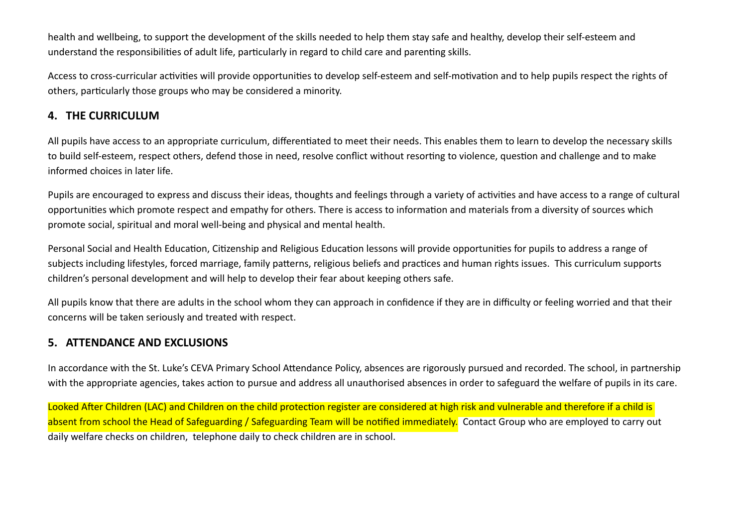health and wellbeing, to support the development of the skills needed to help them stay safe and healthy, develop their self-esteem and understand the responsibilities of adult life, particularly in regard to child care and parenting skills.

Access to cross-curricular activities will provide opportunities to develop self-esteem and self-motivation and to help pupils respect the rights of others, particularly those groups who may be considered a minority.

#### **4.   THE CURRICULUM**

All pupils have access to an appropriate curriculum, differentiated to meet their needs. This enables them to learn to develop the necessary skills to build self-esteem, respect others, defend those in need, resolve conflict without resorting to violence, question and challenge and to make informed choices in later life.

Pupils are encouraged to express and discuss their ideas, thoughts and feelings through a variety of activities and have access to a range of cultural opportunities which promote respect and empathy for others. There is access to information and materials from a diversity of sources which promote social, spiritual and moral well-being and physical and mental health.

Personal Social and Health Education, Citizenship and Religious Education lessons will provide opportunities for pupils to address a range of subjects including lifestyles, forced marriage, family patterns, religious beliefs and practices and human rights issues. This curriculum supports children's personal development and will help to develop their fear about keeping others safe.

All pupils know that there are adults in the school whom they can approach in confidence if they are in difficulty or feeling worried and that their concerns will be taken seriously and treated with respect.

## **5.   ATTENDANCE AND EXCLUSIONS**

In accordance with the St. Luke's CEVA Primary School Attendance Policy, absences are rigorously pursued and recorded. The school, in partnership with the appropriate agencies, takes action to pursue and address all unauthorised absences in order to safeguard the welfare of pupils in its care.

Looked After Children (LAC) and Children on the child protection register are considered at high risk and vulnerable and therefore if a child is absent from school the Head of Safeguarding / Safeguarding Team will be notified immediately. Contact Group who are employed to carry out daily welfare checks on children, telephone daily to check children are in school.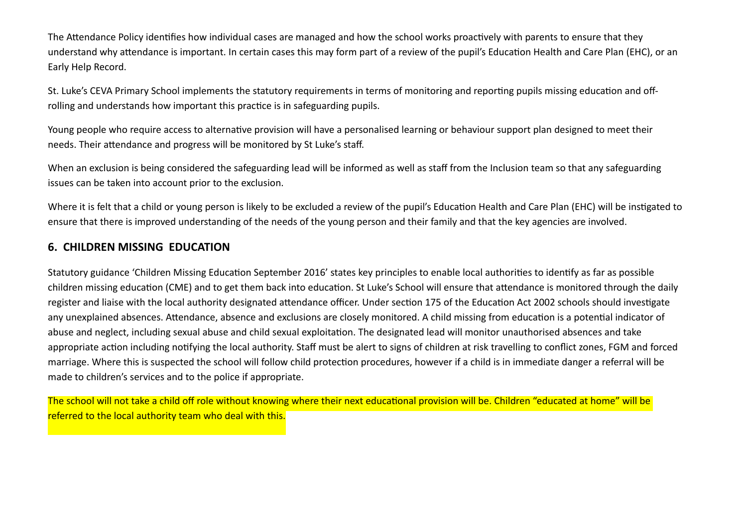The Attendance Policy identifies how individual cases are managed and how the school works proactively with parents to ensure that they understand why attendance is important. In certain cases this may form part of a review of the pupil's Education Health and Care Plan (EHC), or an Early Help Record.

St. Luke's CEVA Primary School implements the statutory requirements in terms of monitoring and reporting pupils missing education and offrolling and understands how important this practice is in safeguarding pupils.

Young people who require access to alternative provision will have a personalised learning or behaviour support plan designed to meet their needs. Their attendance and progress will be monitored by St Luke's staff.

When an exclusion is being considered the safeguarding lead will be informed as well as staff from the Inclusion team so that any safeguarding issues can be taken into account prior to the exclusion.

Where it is felt that a child or young person is likely to be excluded a review of the pupil's Education Health and Care Plan (EHC) will be instigated to ensure that there is improved understanding of the needs of the young person and their family and that the key agencies are involved.

#### **6. CHILDREN MISSING EDUCATION**

Statutory guidance 'Children Missing Education September 2016' states key principles to enable local authorities to identify as far as possible children missing education (CME) and to get them back into education. St Luke's School will ensure that attendance is monitored through the daily register and liaise with the local authority designated attendance officer. Under section 175 of the Education Act 2002 schools should investigate any unexplained absences. Attendance, absence and exclusions are closely monitored. A child missing from education is a potential indicator of abuse and neglect, including sexual abuse and child sexual exploitation. The designated lead will monitor unauthorised absences and take appropriate action including notifying the local authority. Staff must be alert to signs of children at risk travelling to conflict zones, FGM and forced marriage. Where this is suspected the school will follow child protection procedures, however if a child is in immediate danger a referral will be made to children's services and to the police if appropriate.

The school will not take a child off role without knowing where their next educational provision will be. Children "educated at home" will be referred to the local authority team who deal with this.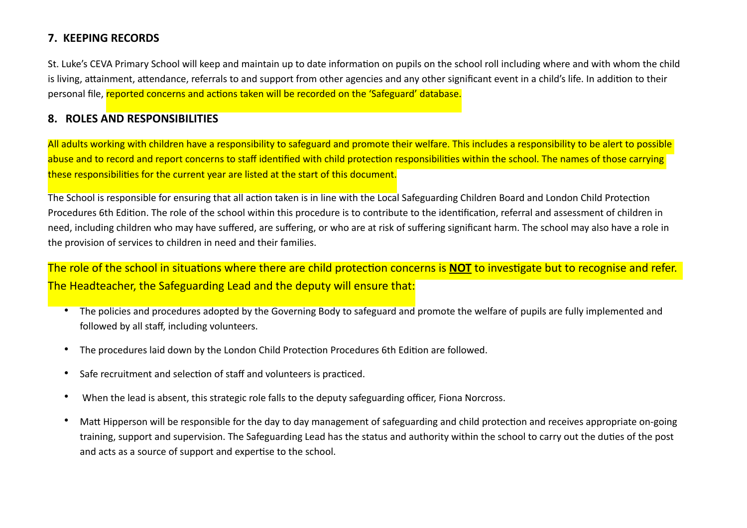#### **7.  KEEPING RECORDS**

St. Luke's CEVA Primary School will keep and maintain up to date information on pupils on the school roll including where and with whom the child is living, attainment, attendance, referrals to and support from other agencies and any other significant event in a child's life. In addition to their personal file, reported concerns and actions taken will be recorded on the 'Safeguard' database.

# **8.   ROLES AND RESPONSIBILITIES**

All adults working with children have a responsibility to safeguard and promote their welfare. This includes a responsibility to be alert to possible abuse and to record and report concerns to staff identified with child protection responsibilities within the school. The names of those carrying these responsibilities for the current year are listed at the start of this document.

The School is responsible for ensuring that all action taken is in line with the Local Safeguarding Children Board and London Child Protection Procedures 6th Edition. The role of the school within this procedure is to contribute to the identification, referral and assessment of children in need, including children who may have suffered, are suffering, or who are at risk of suffering significant harm. The school may also have a role in the provision of services to children in need and their families.

The role of the school in situations where there are child protection concerns is **NOT** to investigate but to recognise and refer. The Headteacher, the Safeguarding Lead and the deputy will ensure that:

- The policies and procedures adopted by the Governing Body to safeguard and promote the welfare of pupils are fully implemented and followed by all staff, including volunteers.
- The procedures laid down by the London Child Protection Procedures 6th Edition are followed.
- Safe recruitment and selection of staff and volunteers is practiced.
- When the lead is absent, this strategic role falls to the deputy safeguarding officer, Fiona Norcross.
- Matt Hipperson will be responsible for the day to day management of safeguarding and child protection and receives appropriate on-going training, support and supervision. The Safeguarding Lead has the status and authority within the school to carry out the duties of the post and acts as a source of support and expertise to the school.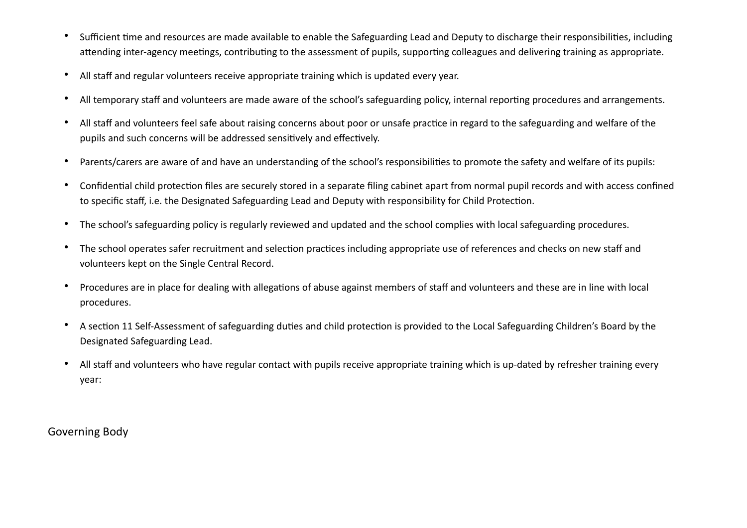- Sufficient time and resources are made available to enable the Safeguarding Lead and Deputy to discharge their responsibilities, including attending inter-agency meetings, contributing to the assessment of pupils, supporting colleagues and delivering training as appropriate.
- All staff and regular volunteers receive appropriate training which is updated every year.
- All temporary staff and volunteers are made aware of the school's safeguarding policy, internal reporting procedures and arrangements.
- All staff and volunteers feel safe about raising concerns about poor or unsafe practice in regard to the safeguarding and welfare of the pupils and such concerns will be addressed sensitively and effectively.
- Parents/carers are aware of and have an understanding of the school's responsibilities to promote the safety and welfare of its pupils:
- Confidential child protection files are securely stored in a separate filing cabinet apart from normal pupil records and with access confined to specific staff, i.e. the Designated Safeguarding Lead and Deputy with responsibility for Child Protection.
- The school's safeguarding policy is regularly reviewed and updated and the school complies with local safeguarding procedures.
- The school operates safer recruitment and selection practices including appropriate use of references and checks on new staff and volunteers kept on the Single Central Record.
- Procedures are in place for dealing with allegations of abuse against members of staff and volunteers and these are in line with local procedures.
- A section 11 Self-Assessment of safeguarding duties and child protection is provided to the Local Safeguarding Children's Board by the Designated Safeguarding Lead.
- All staff and volunteers who have regular contact with pupils receive appropriate training which is up-dated by refresher training every year:

Governing Body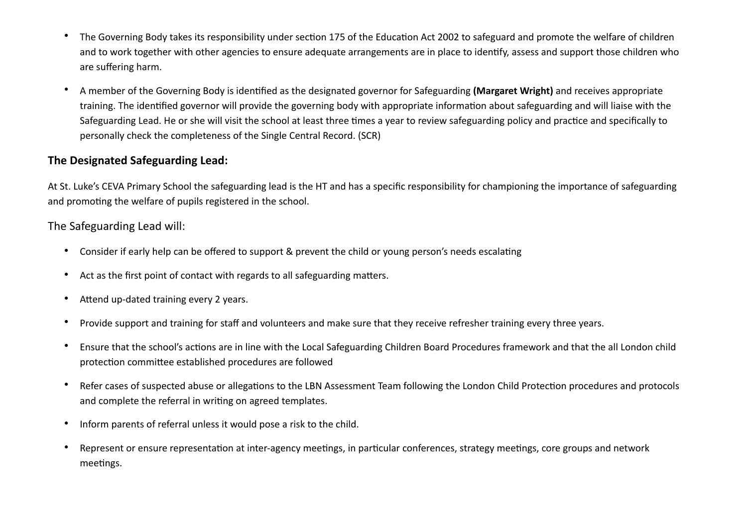- The Governing Body takes its responsibility under section 175 of the Education Act 2002 to safeguard and promote the welfare of children and to work together with other agencies to ensure adequate arrangements are in place to identify, assess and support those children who are suffering harm.
- A member of the Governing Body is identified as the designated governor for Safeguarding **(Margaret Wright)** and receives appropriate training. The identified governor will provide the governing body with appropriate information about safeguarding and will liaise with the Safeguarding Lead. He or she will visit the school at least three times a year to review safeguarding policy and practice and specifically to personally check the completeness of the Single Central Record. (SCR)

#### **The Designated Safeguarding Lead:**

At St. Luke's CEVA Primary School the safeguarding lead is the HT and has a specific responsibility for championing the importance of safeguarding and promoting the welfare of pupils registered in the school.

The Safeguarding Lead will:

- Consider if early help can be offered to support & prevent the child or young person's needs escalating
- Act as the first point of contact with regards to all safeguarding matters.
- Attend up-dated training every 2 years.
- Provide support and training for staff and volunteers and make sure that they receive refresher training every three years.
- Ensure that the school's actions are in line with the Local Safeguarding Children Board Procedures framework and that the all London child protection committee established procedures are followed
- Refer cases of suspected abuse or allegations to the LBN Assessment Team following the London Child Protection procedures and protocols and complete the referral in writing on agreed templates.
- Inform parents of referral unless it would pose a risk to the child.
- Represent or ensure representation at inter-agency meetings, in particular conferences, strategy meetings, core groups and network meetings.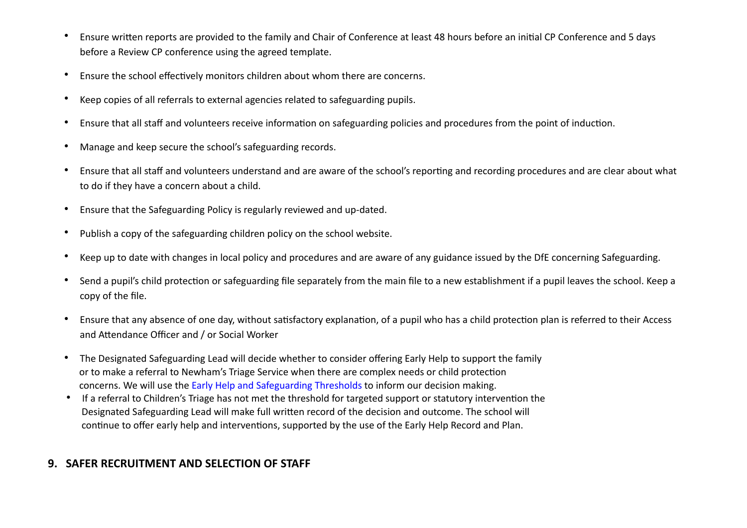- Ensure written reports are provided to the family and Chair of Conference at least 48 hours before an initial CP Conference and 5 days before a Review CP conference using the agreed template.
- Ensure the school effectively monitors children about whom there are concerns.
- Keep copies of all referrals to external agencies related to safeguarding pupils.
- Ensure that all staff and volunteers receive information on safeguarding policies and procedures from the point of induction.
- Manage and keep secure the school's safeguarding records.
- Ensure that all staff and volunteers understand and are aware of the school's reporting and recording procedures and are clear about what to do if they have a concern about a child.
- Ensure that the Safeguarding Policy is regularly reviewed and up-dated.
- Publish a copy of the safeguarding children policy on the school website.
- Keep up to date with changes in local policy and procedures and are aware of any guidance issued by the DfE concerning Safeguarding.
- Send a pupil's child protection or safeguarding file separately from the main file to a new establishment if a pupil leaves the school. Keep a copy of the file.
- Ensure that any absence of one day, without satisfactory explanation, of a pupil who has a child protection plan is referred to their Access and Attendance Officer and / or Social Worker
- The Designated Safeguarding Lead will decide whether to consider offering Early Help to support the family or to make a referral to Newham's Triage Service when there are complex needs or child protection concerns. We will use the Early Help and Safeguarding Thresholds to inform our decision making.
- If a referral to Children's Triage has not met the threshold for targeted support or statutory intervention the Designated Safeguarding Lead will make full written record of the decision and outcome. The school will continue to offer early help and interventions, supported by the use of the Early Help Record and Plan.

## **9.   SAFER RECRUITMENT AND SELECTION OF STAFF**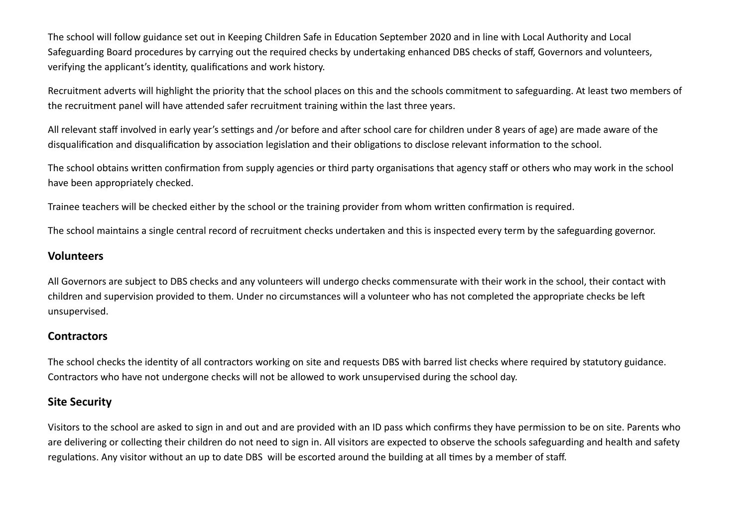The school will follow guidance set out in Keeping Children Safe in Education September 2020 and in line with Local Authority and Local Safeguarding Board procedures by carrying out the required checks by undertaking enhanced DBS checks of staff, Governors and volunteers, verifying the applicant's identity, qualifications and work history.

Recruitment adverts will highlight the priority that the school places on this and the schools commitment to safeguarding. At least two members of the recruitment panel will have attended safer recruitment training within the last three years.

All relevant staff involved in early year's settings and /or before and after school care for children under 8 years of age) are made aware of the disqualification and disqualification by association legislation and their obligations to disclose relevant information to the school.

The school obtains written confirmation from supply agencies or third party organisations that agency staff or others who may work in the school have been appropriately checked.

Trainee teachers will be checked either by the school or the training provider from whom written confirmation is required.

The school maintains a single central record of recruitment checks undertaken and this is inspected every term by the safeguarding governor.

#### **Volunteers**

All Governors are subject to DBS checks and any volunteers will undergo checks commensurate with their work in the school, their contact with children and supervision provided to them. Under no circumstances will a volunteer who has not completed the appropriate checks be left unsupervised.

#### **Contractors**

The school checks the identity of all contractors working on site and requests DBS with barred list checks where required by statutory guidance. Contractors who have not undergone checks will not be allowed to work unsupervised during the school day.

#### **Site Security**

Visitors to the school are asked to sign in and out and are provided with an ID pass which confirms they have permission to be on site. Parents who are delivering or collecting their children do not need to sign in. All visitors are expected to observe the schools safeguarding and health and safety regulations. Any visitor without an up to date DBS will be escorted around the building at all times by a member of staff.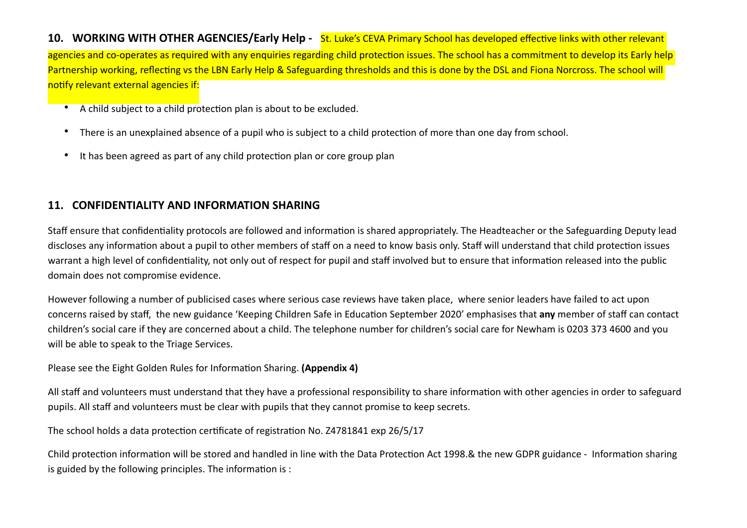**10.   WORKING WITH OTHER AGENCIES/Early Help -** St. Luke's CEVA Primary School has developed effective links with other relevant agencies and co-operates as required with any enquiries regarding child protection issues. The school has a commitment to develop its Early help Partnership working, reflecting vs the LBN Early Help & Safeguarding thresholds and this is done by the DSL and Fiona Norcross. The school will notify relevant external agencies if:

- A child subject to a child protection plan is about to be excluded.
- There is an unexplained absence of a pupil who is subject to a child protection of more than one day from school.
- It has been agreed as part of any child protection plan or core group plan

#### **11.   CONFIDENTIALITY AND INFORMATION SHARING**

Staff ensure that confidentiality protocols are followed and information is shared appropriately. The Headteacher or the Safeguarding Deputy lead discloses any information about a pupil to other members of staff on a need to know basis only. Staff will understand that child protection issues warrant a high level of confidentiality, not only out of respect for pupil and staff involved but to ensure that information released into the public domain does not compromise evidence.

However following a number of publicised cases where serious case reviews have taken place, where senior leaders have failed to act upon concerns raised by staff, the new guidance 'Keeping Children Safe in Education September 2020' emphasises that **any** member of staff can contact children's social care if they are concerned about a child. The telephone number for children's social care for Newham is 0203 373 4600 and you will be able to speak to the Triage Services.

Please see the Eight Golden Rules for Information Sharing. **(Appendix 4)**

All staff and volunteers must understand that they have a professional responsibility to share information with other agencies in order to safeguard pupils. All staff and volunteers must be clear with pupils that they cannot promise to keep secrets.

The school holds a data protection certificate of registration No. Z4781841 exp 26/5/17

Child protection information will be stored and handled in line with the Data Protection Act 1998.& the new GDPR guidance - Information sharing is guided by the following principles. The information is :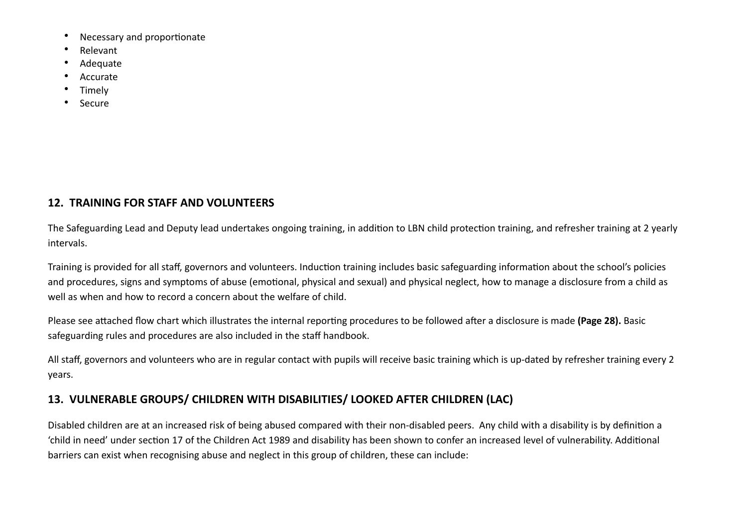- Necessary and proportionate
- Relevant
- Adequate
- Accurate
- **Timely**
- **Secure**

# **12.  TRAINING FOR STAFF AND VOLUNTEERS**

The Safeguarding Lead and Deputy lead undertakes ongoing training, in addition to LBN child protection training, and refresher training at 2 yearly intervals.

Training is provided for all staff, governors and volunteers. Induction training includes basic safeguarding information about the school's policies and procedures, signs and symptoms of abuse (emotional, physical and sexual) and physical neglect, how to manage a disclosure from a child as well as when and how to record a concern about the welfare of child.

Please see attached flow chart which illustrates the internal reporting procedures to be followed after a disclosure is made **(Page 28).** Basic safeguarding rules and procedures are also included in the staff handbook.

All staff, governors and volunteers who are in regular contact with pupils will receive basic training which is up-dated by refresher training every 2 years.

# **13.  VULNERABLE GROUPS/ CHILDREN WITH DISABILITIES/ LOOKED AFTER CHILDREN (LAC)**

Disabled children are at an increased risk of being abused compared with their non-disabled peers. Any child with a disability is by definition a 'child in need' under section 17 of the Children Act 1989 and disability has been shown to confer an increased level of vulnerability. Additional barriers can exist when recognising abuse and neglect in this group of children, these can include: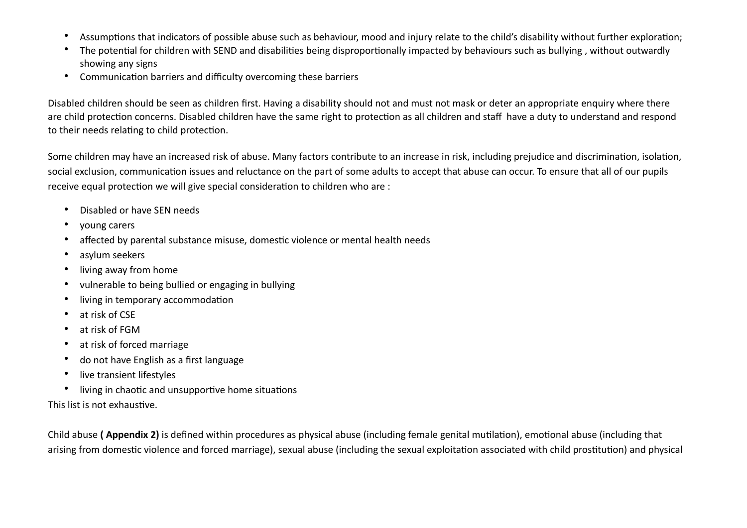- Assumptions that indicators of possible abuse such as behaviour, mood and injury relate to the child's disability without further exploration;
- The potential for children with SEND and disabilities being disproportionally impacted by behaviours such as bullying , without outwardly showing any signs
- Communication barriers and difficulty overcoming these barriers

Disabled children should be seen as children first. Having a disability should not and must not mask or deter an appropriate enquiry where there are child protection concerns. Disabled children have the same right to protection as all children and staff have a duty to understand and respond to their needs relating to child protection.

Some children may have an increased risk of abuse. Many factors contribute to an increase in risk, including prejudice and discrimination, isolation, social exclusion, communication issues and reluctance on the part of some adults to accept that abuse can occur. To ensure that all of our pupils receive equal protection we will give special consideration to children who are :

- Disabled or have SEN needs
- young carers
- affected by parental substance misuse, domestic violence or mental health needs
- asylum seekers
- living away from home
- vulnerable to being bullied or engaging in bullying
- living in temporary accommodation
- at risk of CSE
- at risk of FGM
- at risk of forced marriage
- do not have English as a first language
- live transient lifestyles
- living in chaotic and unsupportive home situations

This list is not exhaustive.

Child abuse **( Appendix 2)** is defined within procedures as physical abuse (including female genital mutilation), emotional abuse (including that arising from domestic violence and forced marriage), sexual abuse (including the sexual exploitation associated with child prostitution) and physical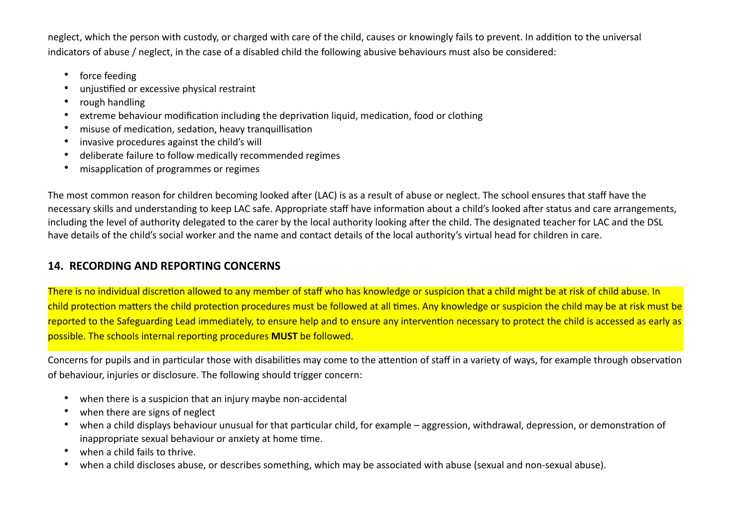neglect, which the person with custody, or charged with care of the child, causes or knowingly fails to prevent. In addition to the universal indicators of abuse / neglect, in the case of a disabled child the following abusive behaviours must also be considered:

- force feeding
- unjustified or excessive physical restraint
- rough handling
- extreme behaviour modification including the deprivation liquid, medication, food or clothing
- misuse of medication, sedation, heavy tranquillisation
- invasive procedures against the child's will
- deliberate failure to follow medically recommended regimes
- misapplication of programmes or regimes

The most common reason for children becoming looked after (LAC) is as a result of abuse or neglect. The school ensures that staff have the necessary skills and understanding to keep LAC safe. Appropriate staff have information about a child's looked after status and care arrangements, including the level of authority delegated to the carer by the local authority looking after the child. The designated teacher for LAC and the DSL have details of the child's social worker and the name and contact details of the local authority's virtual head for children in care.

# **14.  RECORDING AND REPORTING CONCERNS**

There is no individual discretion allowed to any member of staff who has knowledge or suspicion that a child might be at risk of child abuse. In child protection matters the child protection procedures must be followed at all times. Any knowledge or suspicion the child may be at risk must be reported to the Safeguarding Lead immediately, to ensure help and to ensure any intervention necessary to protect the child is accessed as early as possible. The schools internal reporting procedures **MUST** be followed.

Concerns for pupils and in particular those with disabilities may come to the attention of staff in a variety of ways, for example through observation of behaviour, injuries or disclosure. The following should trigger concern:

- when there is a suspicion that an injury maybe non-accidental
- when there are signs of neglect
- when a child displays behaviour unusual for that particular child, for example aggression, withdrawal, depression, or demonstration of inappropriate sexual behaviour or anxiety at home time.
- when a child fails to thrive.
- when a child discloses abuse, or describes something, which may be associated with abuse (sexual and non-sexual abuse).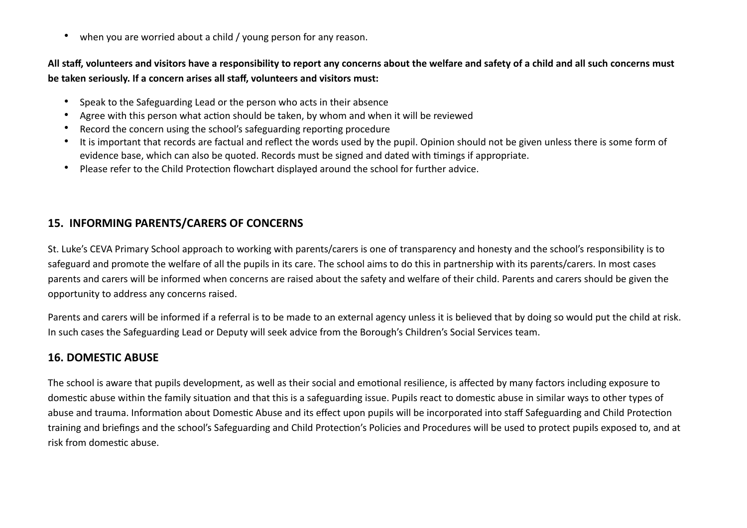• when you are worried about a child / young person for any reason.

**All staff, volunteers and visitors have a responsibility to report any concerns about the welfare and safety of a child and all such concerns must be taken seriously. If a concern arises all staff, volunteers and visitors must:** 

- Speak to the Safeguarding Lead or the person who acts in their absence
- Agree with this person what action should be taken, by whom and when it will be reviewed
- Record the concern using the school's safeguarding reporting procedure
- It is important that records are factual and reflect the words used by the pupil. Opinion should not be given unless there is some form of evidence base, which can also be quoted. Records must be signed and dated with timings if appropriate.
- Please refer to the Child Protection flowchart displayed around the school for further advice.

#### **15.  INFORMING PARENTS/CARERS OF CONCERNS**

St. Luke's CEVA Primary School approach to working with parents/carers is one of transparency and honesty and the school's responsibility is to safeguard and promote the welfare of all the pupils in its care. The school aims to do this in partnership with its parents/carers. In most cases parents and carers will be informed when concerns are raised about the safety and welfare of their child. Parents and carers should be given the opportunity to address any concerns raised.

Parents and carers will be informed if a referral is to be made to an external agency unless it is believed that by doing so would put the child at risk. In such cases the Safeguarding Lead or Deputy will seek advice from the Borough's Children's Social Services team.

#### **16. DOMESTIC ABUSE**

The school is aware that pupils development, as well as their social and emotional resilience, is affected by many factors including exposure to domestic abuse within the family situation and that this is a safeguarding issue. Pupils react to domestic abuse in similar ways to other types of abuse and trauma. Information about Domestic Abuse and its effect upon pupils will be incorporated into staff Safeguarding and Child Protection training and briefings and the school's Safeguarding and Child Protection's Policies and Procedures will be used to protect pupils exposed to, and at risk from domestic abuse.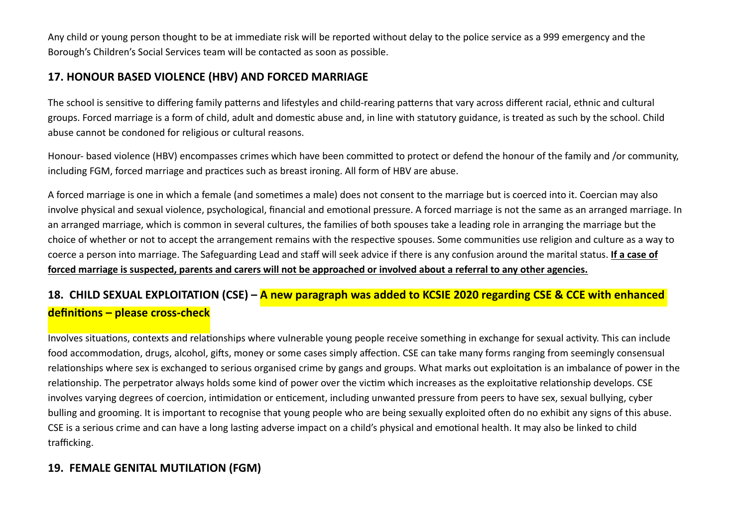Any child or young person thought to be at immediate risk will be reported without delay to the police service as a 999 emergency and the Borough's Children's Social Services team will be contacted as soon as possible.

#### **17. HONOUR BASED VIOLENCE (HBV) AND FORCED MARRIAGE**

The school is sensitive to differing family patterns and lifestyles and child-rearing patterns that vary across different racial, ethnic and cultural groups. Forced marriage is a form of child, adult and domestic abuse and, in line with statutory guidance, is treated as such by the school. Child abuse cannot be condoned for religious or cultural reasons.

Honour- based violence (HBV) encompasses crimes which have been committed to protect or defend the honour of the family and /or community, including FGM, forced marriage and practices such as breast ironing. All form of HBV are abuse.

A forced marriage is one in which a female (and sometimes a male) does not consent to the marriage but is coerced into it. Coercian may also involve physical and sexual violence, psychological, financial and emotional pressure. A forced marriage is not the same as an arranged marriage. In an arranged marriage, which is common in several cultures, the families of both spouses take a leading role in arranging the marriage but the choice of whether or not to accept the arrangement remains with the respective spouses. Some communities use religion and culture as a way to coerce a person into marriage. The Safeguarding Lead and staff will seek advice if there is any confusion around the marital status. **If a case of forced marriage is suspected, parents and carers will not be approached or involved about a referral to any other agencies.** 

# **18. CHILD SEXUAL EXPLOITATION (CSE) – A new paragraph was added to KCSIE 2020 regarding CSE & CCE with enhanced definitions – please cross-check**

Involves situations, contexts and relationships where vulnerable young people receive something in exchange for sexual activity. This can include food accommodation, drugs, alcohol, gifts, money or some cases simply affection. CSE can take many forms ranging from seemingly consensual relationships where sex is exchanged to serious organised crime by gangs and groups. What marks out exploitation is an imbalance of power in the relationship. The perpetrator always holds some kind of power over the victim which increases as the exploitative relationship develops. CSE involves varying degrees of coercion, intimidation or enticement, including unwanted pressure from peers to have sex, sexual bullying, cyber bulling and grooming. It is important to recognise that young people who are being sexually exploited often do no exhibit any signs of this abuse. CSE is a serious crime and can have a long lasting adverse impact on a child's physical and emotional health. It may also be linked to child trafficking.

#### **19. FEMALE GENITAL MUTILATION (FGM)**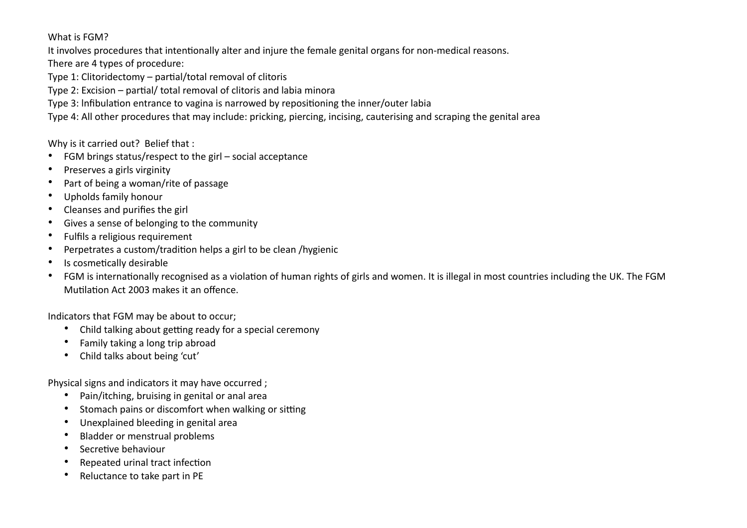What is FGM?

It involves procedures that intentionally alter and injure the female genital organs for non-medical reasons.

There are 4 types of procedure:

Type 1: Clitoridectomy – partial/total removal of clitoris

Type 2: Excision – partial/ total removal of clitoris and labia minora

Type 3: lnfibulation entrance to vagina is narrowed by repositioning the inner/outer labia

Type 4: All other procedures that may include: pricking, piercing, incising, cauterising and scraping the genital area

Why is it carried out? Belief that :

- FGM brings status/respect to the girl social acceptance
- Preserves a girls virginity
- Part of being a woman/rite of passage
- Upholds family honour
- Cleanses and purifies the girl
- Gives a sense of belonging to the community
- Fulfils a religious requirement
- Perpetrates a custom/tradition helps a girl to be clean /hygienic
- Is cosmetically desirable
- FGM is internationally recognised as a violation of human rights of girls and women. It is illegal in most countries including the UK. The FGM Mutilation Act 2003 makes it an offence.

Indicators that FGM may be about to occur;

- Child talking about getting ready for a special ceremony
- Family taking a long trip abroad
- Child talks about being 'cut'

Physical signs and indicators it may have occurred ;

- Pain/itching, bruising in genital or anal area
- Stomach pains or discomfort when walking or sitting
- Unexplained bleeding in genital area
- Bladder or menstrual problems
- Secretive behaviour
- Repeated urinal tract infection
- Reluctance to take part in PE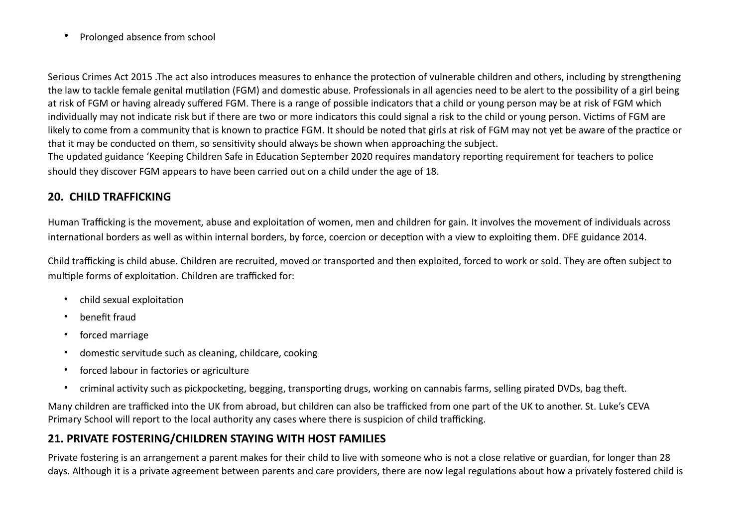• Prolonged absence from school

Serious Crimes Act 2015 .The act also introduces measures to enhance the protection of vulnerable children and others, including by strengthening the law to tackle female genital mutilation (FGM) and domestic abuse. Professionals in all agencies need to be alert to the possibility of a girl being at risk of FGM or having already suffered FGM. There is a range of possible indicators that a child or young person may be at risk of FGM which individually may not indicate risk but if there are two or more indicators this could signal a risk to the child or young person. Victims of FGM are likely to come from a community that is known to practice FGM. It should be noted that girls at risk of FGM may not yet be aware of the practice or that it may be conducted on them, so sensitivity should always be shown when approaching the subject.

The updated guidance 'Keeping Children Safe in Education September 2020 requires mandatory reporting requirement for teachers to police should they discover FGM appears to have been carried out on a child under the age of 18.

#### **20. CHILD TRAFFICKING**

Human Trafficking is the movement, abuse and exploitation of women, men and children for gain. It involves the movement of individuals across international borders as well as within internal borders, by force, coercion or deception with a view to exploiting them. DFE guidance 2014.

Child trafficking is child abuse. Children are recruited, moved or transported and then exploited, forced to work or sold. They are often subject to multiple forms of exploitation. Children are trafficked for:

- [child sexual exploitation](https://www.nspcc.org.uk/preventing-abuse/child-abuse-and-neglect/child-sexual-exploitation/)
- benefit fraud
- forced marriage
- domestic servitude such as cleaning, childcare, cooking
- forced labour in factories or agriculture
- criminal activity such as pickpocketing, begging, transporting drugs, working on cannabis farms, selling pirated DVDs, bag theft.

Many children are trafficked into the UK from abroad, but children can also be trafficked from one part of the UK to another. St. Luke's CEVA Primary School will report to the local authority any cases where there is suspicion of child trafficking.

# **21. PRIVATE FOSTERING/CHILDREN STAYING WITH HOST FAMILIES**

Private fostering is an arrangement a parent makes for their child to live with someone who is not a close relative or guardian, for longer than 28 days. Although it is a private agreement between parents and care providers, there are now legal regulations about how a privately fostered child is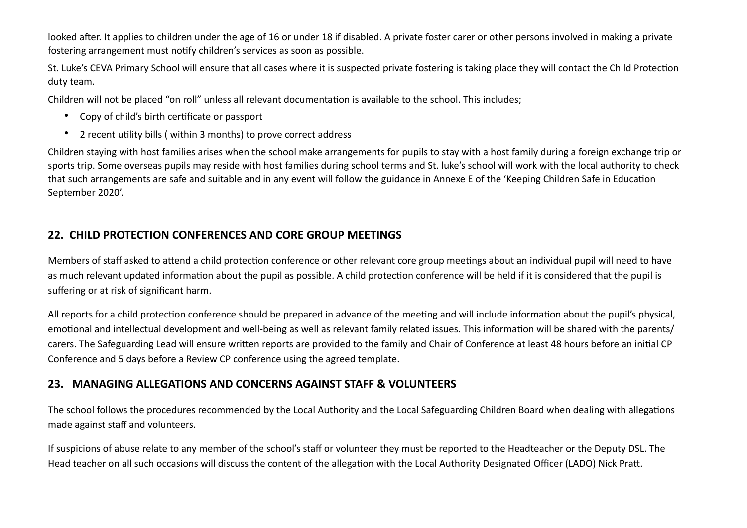looked after. It applies to children under the age of 16 or under 18 if disabled. A private foster carer or other persons involved in making a private fostering arrangement must notify children's services as soon as possible.

St. Luke's CEVA Primary School will ensure that all cases where it is suspected private fostering is taking place they will contact the Child Protection duty team.

Children will not be placed "on roll" unless all relevant documentation is available to the school. This includes;

- Copy of child's birth certificate or passport
- 2 recent utility bills ( within 3 months) to prove correct address

Children staying with host families arises when the school make arrangements for pupils to stay with a host family during a foreign exchange trip or sports trip. Some overseas pupils may reside with host families during school terms and St. luke's school will work with the local authority to check that such arrangements are safe and suitable and in any event will follow the guidance in Annexe E of the 'Keeping Children Safe in Education September 2020'.

#### **22.  CHILD PROTECTION CONFERENCES AND CORE GROUP MEETINGS**

Members of staff asked to attend a child protection conference or other relevant core group meetings about an individual pupil will need to have as much relevant updated information about the pupil as possible. A child protection conference will be held if it is considered that the pupil is suffering or at risk of significant harm.

All reports for a child protection conference should be prepared in advance of the meeting and will include information about the pupil's physical, emotional and intellectual development and well-being as well as relevant family related issues. This information will be shared with the parents/ carers. The Safeguarding Lead will ensure written reports are provided to the family and Chair of Conference at least 48 hours before an initial CP Conference and 5 days before a Review CP conference using the agreed template.

#### **23.   MANAGING ALLEGATIONS AND CONCERNS AGAINST STAFF & VOLUNTEERS**

The school follows the procedures recommended by the Local Authority and the Local Safeguarding Children Board when dealing with allegations made against staff and volunteers.

If suspicions of abuse relate to any member of the school's staff or volunteer they must be reported to the Headteacher or the Deputy DSL. The Head teacher on all such occasions will discuss the content of the allegation with the Local Authority Designated Officer (LADO) Nick Pratt.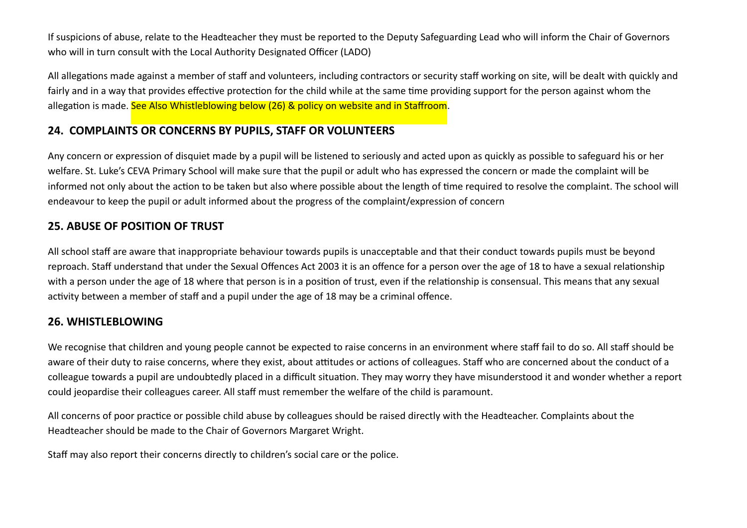If suspicions of abuse, relate to the Headteacher they must be reported to the Deputy Safeguarding Lead who will inform the Chair of Governors who will in turn consult with the Local Authority Designated Officer (LADO)

All allegations made against a member of staff and volunteers, including contractors or security staff working on site, will be dealt with quickly and fairly and in a way that provides effective protection for the child while at the same time providing support for the person against whom the allegation is made. See Also Whistleblowing below (26) & policy on website and in Staffroom.

#### **24. COMPLAINTS OR CONCERNS BY PUPILS, STAFF OR VOLUNTEERS**

Any concern or expression of disquiet made by a pupil will be listened to seriously and acted upon as quickly as possible to safeguard his or her welfare. St. Luke's CEVA Primary School will make sure that the pupil or adult who has expressed the concern or made the complaint will be informed not only about the action to be taken but also where possible about the length of time required to resolve the complaint. The school will endeavour to keep the pupil or adult informed about the progress of the complaint/expression of concern

#### **25. ABUSE OF POSITION OF TRUST**

All school staff are aware that inappropriate behaviour towards pupils is unacceptable and that their conduct towards pupils must be beyond reproach. Staff understand that under the Sexual Offences Act 2003 it is an offence for a person over the age of 18 to have a sexual relationship with a person under the age of 18 where that person is in a position of trust, even if the relationship is consensual. This means that any sexual activity between a member of staff and a pupil under the age of 18 may be a criminal offence.

#### **26. WHISTLEBLOWING**

We recognise that children and young people cannot be expected to raise concerns in an environment where staff fail to do so. All staff should be aware of their duty to raise concerns, where they exist, about attitudes or actions of colleagues. Staff who are concerned about the conduct of a colleague towards a pupil are undoubtedly placed in a difficult situation. They may worry they have misunderstood it and wonder whether a report could jeopardise their colleagues career. All staff must remember the welfare of the child is paramount.

All concerns of poor practice or possible child abuse by colleagues should be raised directly with the Headteacher. Complaints about the Headteacher should be made to the Chair of Governors Margaret Wright.

Staff may also report their concerns directly to children's social care or the police.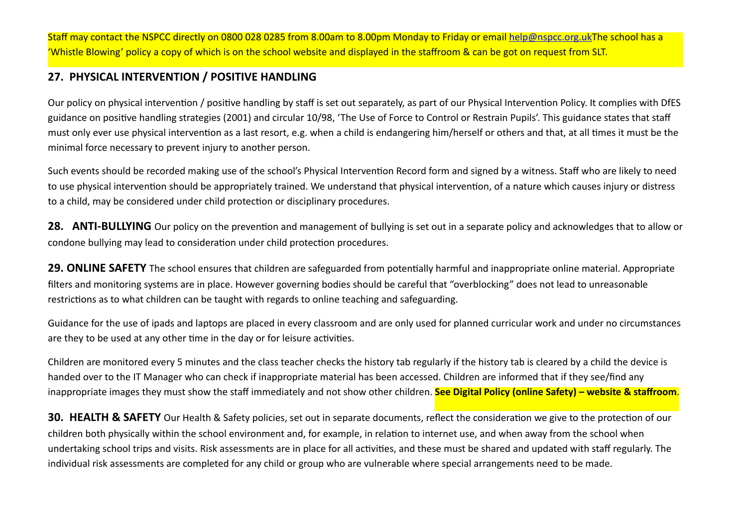Staff may contact the NSPCC directly on 0800 028 0285 from 8.00am to 8.00pm Monday to Friday or email [help@nspcc.org.uk](mailto:help@nspcc.org.uk)The school has a 'Whistle Blowing' policy a copy of which is on the school website and displayed in the staffroom & can be got on request from SLT.

## **27.  PHYSICAL INTERVENTION / POSITIVE HANDLING**

Our policy on physical intervention / positive handling by staff is set out separately, as part of our Physical Intervention Policy. It complies with DfES guidance on positive handling strategies (2001) and circular 10/98, 'The Use of Force to Control or Restrain Pupils'. This guidance states that staff must only ever use physical intervention as a last resort, e.g. when a child is endangering him/herself or others and that, at all times it must be the minimal force necessary to prevent injury to another person.

Such events should be recorded making use of the school's Physical Intervention Record form and signed by a witness. Staff who are likely to need to use physical intervention should be appropriately trained. We understand that physical intervention, of a nature which causes injury or distress to a child, may be considered under child protection or disciplinary procedures.

**28.   ANTI-BULLYING** Our policy on the prevention and management of bullying is set out in a separate policy and acknowledges that to allow or condone bullying may lead to consideration under child protection procedures.

**29. ONLINE SAFETY** The school ensures that children are safeguarded from potentially harmful and inappropriate online material. Appropriate filters and monitoring systems are in place. However governing bodies should be careful that "overblocking" does not lead to unreasonable restrictions as to what children can be taught with regards to online teaching and safeguarding.

Guidance for the use of ipads and laptops are placed in every classroom and are only used for planned curricular work and under no circumstances are they to be used at any other time in the day or for leisure activities.

Children are monitored every 5 minutes and the class teacher checks the history tab regularly if the history tab is cleared by a child the device is handed over to the IT Manager who can check if inappropriate material has been accessed. Children are informed that if they see/find any inappropriate images they must show the staff immediately and not show other children. **See Digital Policy (online Safety) – website & staffroom**.

**30. HEALTH & SAFETY** Our Health & Safety policies, set out in separate documents, reflect the consideration we give to the protection of our children both physically within the school environment and, for example, in relation to internet use, and when away from the school when undertaking school trips and visits. Risk assessments are in place for all activities, and these must be shared and updated with staff regularly. The individual risk assessments are completed for any child or group who are vulnerable where special arrangements need to be made.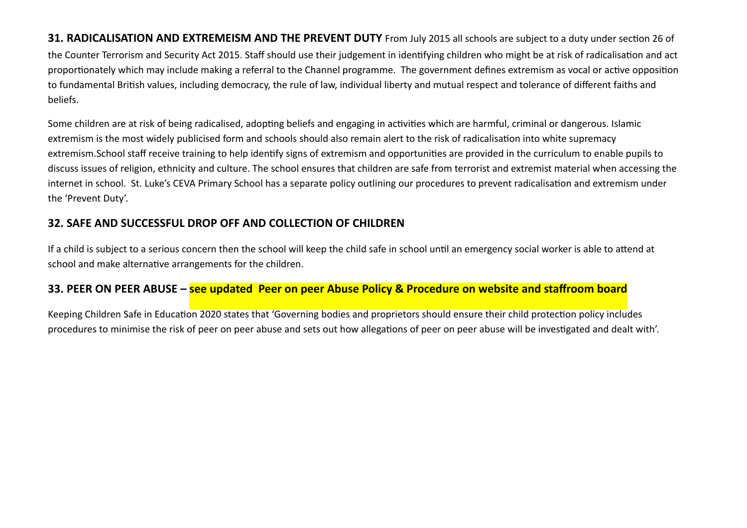**31. RADICALISATION AND EXTREMEISM AND THE PREVENT DUTY** From July 2015 all schools are subject to a duty under section 26 of the Counter Terrorism and Security Act 2015. Staff should use their judgement in identifying children who might be at risk of radicalisation and act proportionately which may include making a referral to the Channel programme. The government defines extremism as vocal or active opposition to fundamental British values, including democracy, the rule of law, individual liberty and mutual respect and tolerance of different faiths and beliefs.

Some children are at risk of being radicalised, adopting beliefs and engaging in activities which are harmful, criminal or dangerous. Islamic extremism is the most widely publicised form and schools should also remain alert to the risk of radicalisation into white supremacy extremism.School staff receive training to help identify signs of extremism and opportunities are provided in the curriculum to enable pupils to discuss issues of religion, ethnicity and culture. The school ensures that children are safe from terrorist and extremist material when accessing the internet in school. St. Luke's CEVA Primary School has a separate policy outlining our procedures to prevent radicalisation and extremism under the 'Prevent Duty'.

#### **32. SAFE AND SUCCESSFUL DROP OFF AND COLLECTION OF CHILDREN**

If a child is subject to a serious concern then the school will keep the child safe in school until an emergency social worker is able to attend at school and make alternative arrangements for the children.

#### **33. PEER ON PEER ABUSE – see updated Peer on peer Abuse Policy & Procedure on website and staffroom board**

Keeping Children Safe in Education 2020 states that 'Governing bodies and proprietors should ensure their child protection policy includes procedures to minimise the risk of peer on peer abuse and sets out how allegations of peer on peer abuse will be investigated and dealt with'.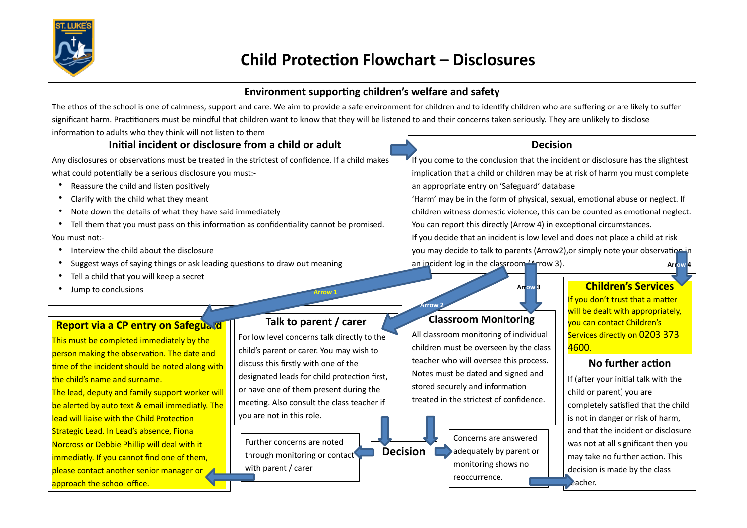

# **Child Protection Flowchart – Disclosures**

#### **Environment supporting children's welfare and safety**

The ethos of the school is one of calmness, support and care. We aim to provide a safe environment for children and to identify children who are suffering or are likely to suffer significant harm. Practitioners must be mindful that children want to know that they will be listened to and their concerns taken seriously. They are unlikely to disclose information to adults who they think will not listen to them

#### **Initial incident or disclosure from a child or adult**

Any disclosures or observations must be treated in the strictest of confidence. If a child makes what could potentially be a serious disclosure you must:-

- Reassure the child and listen positively
- Clarify with the child what they meant
- Note down the details of what they have said immediately
- Tell them that you must pass on this information as confidentiality cannot be promised. You must not:-
- Interview the child about the disclosure
- Suggest ways of saying things or ask leading questions to draw out meaning
- Tell a child that you will keep a secret
- Jump to conclusions

#### **Report via a CP entry on Safeguard**

This must be completed immediately by the person making the observation. The date and time of the incident should be noted along with the child's name and surname. The lead, deputy and family support worker will be alerted by auto text & email immediatly. The lead will liaise with the Child Protection Strategic Lead. In Lead's absence, Fiona Norcross or Debbie Phillip will deal with it

immediatly. If you cannot find one of them,

approach the school office.

please contact another senior manager or

**Talk to parent / carer**

**Arrow 1**

For low level concerns talk directly to the child's parent or carer. You may wish to discuss this firstly with one of the designated leads for child protection first, or have one of them present during the meeting. Also consult the class teacher if you are not in this role.

through monitoring or contact **De** Further concerns are noted with parent / carer

#### **Decision**

If you come to the conclusion that the incident or disclosure has the slightest implication that a child or children may be at risk of harm you must complete an appropriate entry on 'Safeguard' database 'Harm' may be in the form of physical, sexual, emotional abuse or neglect. If children witness domestic violence, this can be counted as emotional neglect. You can report this directly (Arrow 4) in exceptional circumstances.

If you decide that an incident is low level and does not place a child at risk you may decide to talk to parents (Arrow2), or simply note your observation in an incident log in the classroom (Arrow 3). **Arrow 4**

#### **Classroom Monitoring**

**Arrow 2**

All classroom monitoring of individual children must be overseen by the class teacher who will oversee this process. Notes must be dated and signed and stored securely and information treated in the strictest of confidence.



**Decision**

**Arrow 3 Children's Services**

If you don't trust that a matter will be dealt with appropriately. you can contact Children's Services directly on 0203 373 4600.

#### **No further action**

If (after your initial talk with the child or parent) you are completely satisfied that the child is not in danger or risk of harm, and that the incident or disclosure was not at all significant then you may take no further action. This decision is made by the class eacher.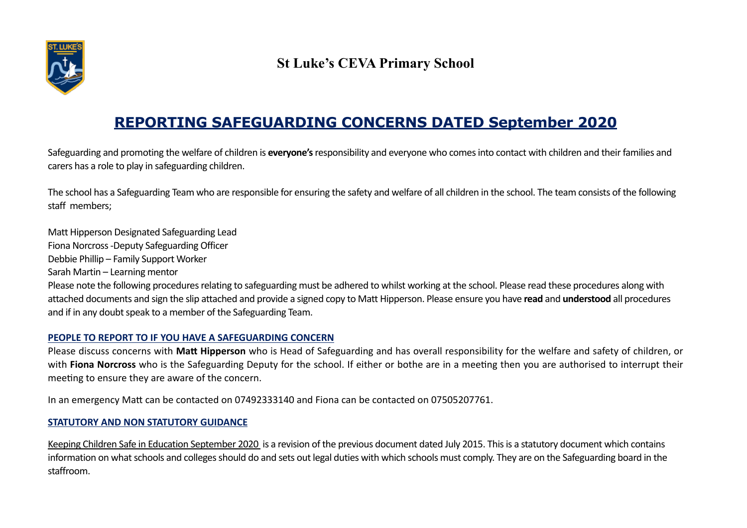

# **St Luke's CEVA Primary School**

# **REPORTING SAFEGUARDING CONCERNS DATED September 2020**

Safeguarding and promoting the welfare of children is **everyone's** responsibility and everyone who comes into contact with children and their families and carers has a role to play in safeguarding children.

The school has a Safeguarding Team who are responsible for ensuring the safety and welfare of all children in the school. The team consists of the following staff members;

Matt Hipperson Designated Safeguarding Lead Fiona Norcross -Deputy Safeguarding Officer

Debbie Phillip – Family Support Worker

Sarah Martin – Learning mentor

Please note the following procedures relating to safeguarding must be adhered to whilst working at the school. Please read these procedures along with attached documents and sign the slip attached and provide a signed copy to Matt Hipperson. Please ensure you have **read** and **understood** all procedures and if in any doubt speak to a member of the Safeguarding Team.

#### **PEOPLE TO REPORT TO IF YOU HAVE A SAFEGUARDING CONCERN**

Please discuss concerns with **Matt Hipperson** who is Head of Safeguarding and has overall responsibility for the welfare and safety of children, or with **Fiona Norcross** who is the Safeguarding Deputy for the school. If either or bothe are in a meeting then you are authorised to interrupt their meeting to ensure they are aware of the concern.

In an emergency Matt can be contacted on 07492333140 and Fiona can be contacted on 07505207761.

#### **STATUTORY AND NON STATUTORY GUIDANCE**

Keeping Children Safe in Education September 2020 is a revision of the previous document dated July 2015. This is a statutory document which contains information on what schools and colleges should do and sets out legal duties with which schools must comply. They are on the Safeguarding board in the staffroom.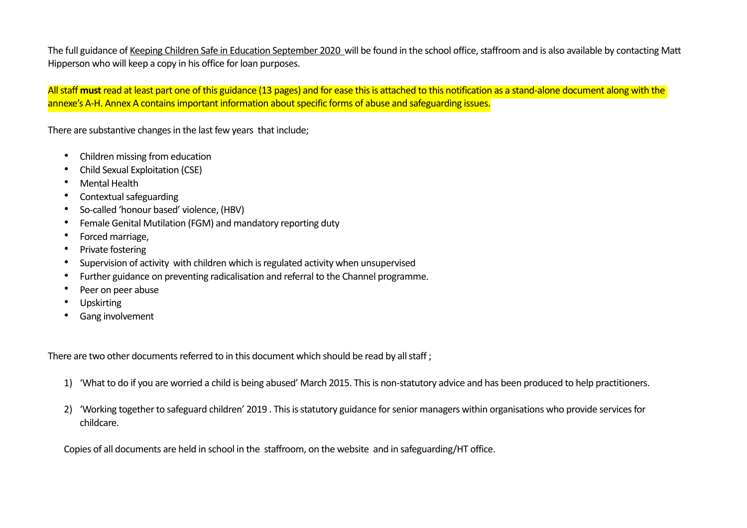The full guidance of Keeping Children Safe in Education September 2020 will be found in the school office, staffroom and is also available by contacting Matt Hipperson who will keep a copy in his office for loan purposes.

All staff **must** read at least part one of this guidance (13 pages) and for ease this is attached to this notification as a stand-alone document along with the annexe's A-H. Annex A contains important information about specific forms of abuse and safeguarding issues.

There are substantive changes in the last few years that include;

- Children missing from education
- Child Sexual Exploitation (CSE)
- Mental Health
- Contextual safeguarding
- So-called 'honour based' violence, (HBV)
- Female Genital Mutilation (FGM) and mandatory reporting duty
- Forced marriage,
- Private fostering
- Supervision of activity with children which is regulated activity when unsupervised
- Further guidance on preventing radicalisation and referral to the Channel programme.
- Peer on peer abuse
- **Upskirting**
- Gang involvement

There are two other documents referred to in this document which should be read by all staff ;

- 1) 'What to do if you are worried a child is being abused' March 2015. This is non-statutory advice and has been produced to help practitioners.
- 2) 'Working together to safeguard children' 2019 . This is statutory guidance for senior managers within organisations who provide services for childcare.

Copies of all documents are held in school in the staffroom, on the website and in safeguarding/HT office.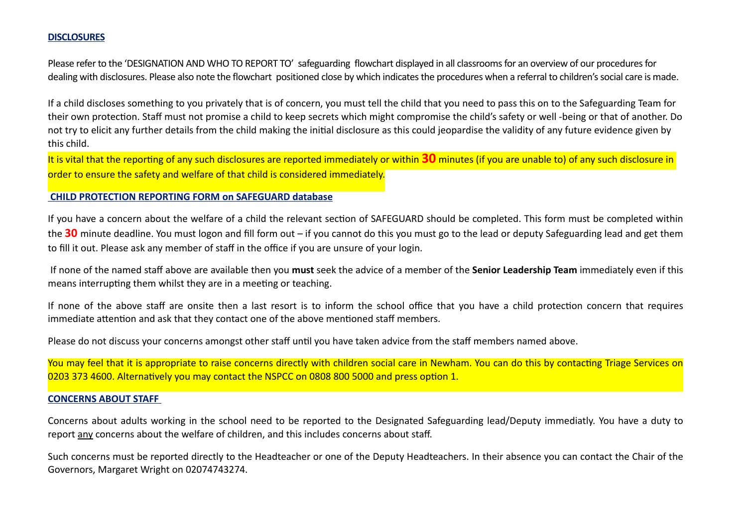#### **DISCLOSURES**

Please refer to the 'DESIGNATION AND WHO TO REPORT TO' safeguarding flowchart displayed in all classrooms for an overview of our procedures for dealing with disclosures. Please also note the flowchart positioned close by which indicates the procedures when a referral to children's social care is made.

If a child discloses something to you privately that is of concern, you must tell the child that you need to pass this on to the Safeguarding Team for their own protection. Staff must not promise a child to keep secrets which might compromise the child's safety or well -being or that of another. Do not try to elicit any further details from the child making the initial disclosure as this could jeopardise the validity of any future evidence given by this child.

It is vital that the reporting of any such disclosures are reported immediately or within **30** minutes (if you are unable to) of any such disclosure in order to ensure the safety and welfare of that child is considered immediately.

#### **CHILD PROTECTION REPORTING FORM on SAFEGUARD database**

If you have a concern about the welfare of a child the relevant section of SAFEGUARD should be completed. This form must be completed within the **30** minute deadline. You must logon and fill form out – if you cannot do this you must go to the lead or deputy Safeguarding lead and get them to fill it out. Please ask any member of staff in the office if you are unsure of your login.

 If none of the named staff above are available then you **must** seek the advice of a member of the **Senior Leadership Team** immediately even if this means interrupting them whilst they are in a meeting or teaching.

If none of the above staff are onsite then a last resort is to inform the school office that you have a child protection concern that requires immediate attention and ask that they contact one of the above mentioned staff members.

Please do not discuss your concerns amongst other staff until you have taken advice from the staff members named above.

You may feel that it is appropriate to raise concerns directly with children social care in Newham. You can do this by contacting Triage Services on 0203 373 4600. Alternatively you may contact the NSPCC on 0808 800 5000 and press option 1.

#### **CONCERNS ABOUT STAFF**

Concerns about adults working in the school need to be reported to the Designated Safeguarding lead/Deputy immediatly. You have a duty to report any concerns about the welfare of children, and this includes concerns about staff.

Such concerns must be reported directly to the Headteacher or one of the Deputy Headteachers. In their absence you can contact the Chair of the Governors, Margaret Wright on 02074743274.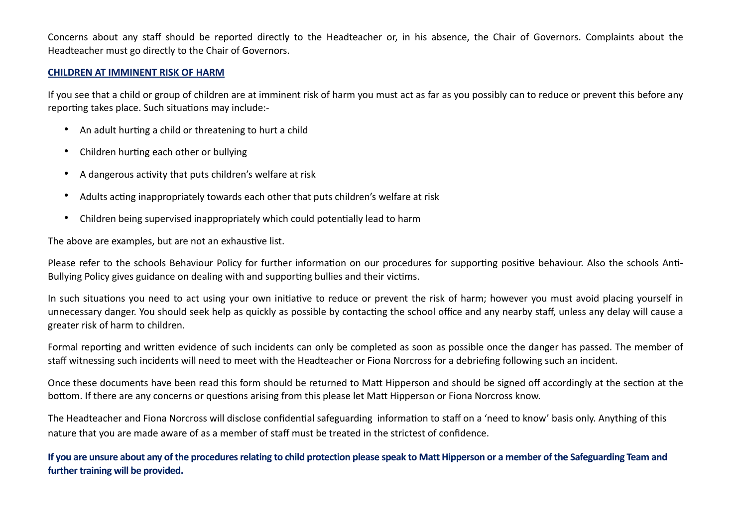Concerns about any staff should be reported directly to the Headteacher or, in his absence, the Chair of Governors. Complaints about the Headteacher must go directly to the Chair of Governors.

#### **CHILDREN AT IMMINENT RISK OF HARM**

If you see that a child or group of children are at imminent risk of harm you must act as far as you possibly can to reduce or prevent this before any reporting takes place. Such situations may include:-

- An adult hurting a child or threatening to hurt a child
- Children hurting each other or bullying
- A dangerous activity that puts children's welfare at risk
- Adults acting inappropriately towards each other that puts children's welfare at risk
- Children being supervised inappropriately which could potentially lead to harm

The above are examples, but are not an exhaustive list.

Please refer to the schools Behaviour Policy for further information on our procedures for supporting positive behaviour. Also the schools Anti-Bullying Policy gives guidance on dealing with and supporting bullies and their victims.

In such situations you need to act using your own initiative to reduce or prevent the risk of harm; however you must avoid placing yourself in unnecessary danger. You should seek help as quickly as possible by contacting the school office and any nearby staff, unless any delay will cause a greater risk of harm to children.

Formal reporting and written evidence of such incidents can only be completed as soon as possible once the danger has passed. The member of staff witnessing such incidents will need to meet with the Headteacher or Fiona Norcross for a debriefing following such an incident.

Once these documents have been read this form should be returned to Matt Hipperson and should be signed off accordingly at the section at the bottom. If there are any concerns or questions arising from this please let Matt Hipperson or Fiona Norcross know.

The Headteacher and Fiona Norcross will disclose confidential safeguarding information to staff on a 'need to know' basis only. Anything of this nature that you are made aware of as a member of staff must be treated in the strictest of confidence.

**If you are unsure about any of the procedures relating to child protection please speak to Matt Hipperson or a member of the Safeguarding Team and further training will be provided.**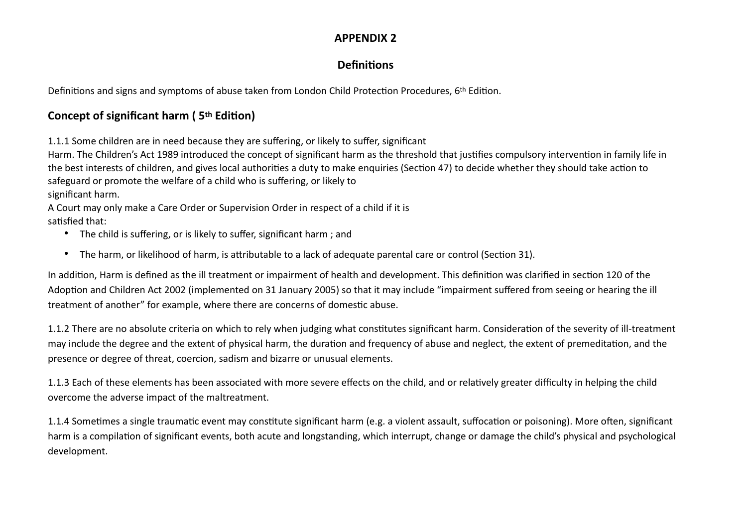#### **APPENDIX 2**

## **Definitions**

Definitions and signs and symptoms of abuse taken from London Child Protection Procedures, 6th Edition.

# **Concept of significant harm ( 5th Edition)**

1.1.1 Some children are in need because they are suffering, or likely to suffer, significant

Harm. The Children's Act 1989 introduced the concept of significant harm as the threshold that justifies compulsory intervention in family life in the best interests of children, and gives local authorities a duty to make enquiries (Section 47) to decide whether they should take action to safeguard or promote the welfare of a child who is suffering, or likely to

significant harm.

A Court may only make a Care Order or Supervision Order in respect of a child if it is satisfied that:

- The child is suffering, or is likely to suffer, significant harm ; and
- The harm, or likelihood of harm, is attributable to a lack of adequate parental care or control (Section 31).

In addition, Harm is defined as the ill treatment or impairment of health and development. This definition was clarified in section 120 of the Adoption and Children Act 2002 (implemented on 31 January 2005) so that it may include "impairment suffered from seeing or hearing the ill treatment of another" for example, where there are concerns of domestic abuse.

1.1.2 There are no absolute criteria on which to rely when judging what constitutes significant harm. Consideration of the severity of ill-treatment may include the degree and the extent of physical harm, the duration and frequency of abuse and neglect, the extent of premeditation, and the presence or degree of threat, coercion, sadism and bizarre or unusual elements.

1.1.3 Each of these elements has been associated with more severe effects on the child, and or relatively greater difficulty in helping the child overcome the adverse impact of the maltreatment.

1.1.4 Sometimes a single traumatic event may constitute significant harm (e.g. a violent assault, suffocation or poisoning). More often, significant harm is a compilation of significant events, both acute and longstanding, which interrupt, change or damage the child's physical and psychological development.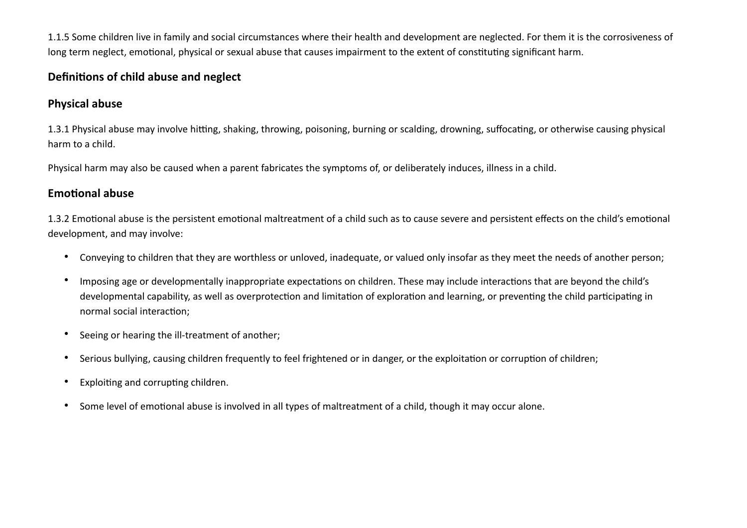1.1.5 Some children live in family and social circumstances where their health and development are neglected. For them it is the corrosiveness of long term neglect, emotional, physical or sexual abuse that causes impairment to the extent of constituting significant harm.

#### **Definitions of child abuse and neglect**

#### **Physical abuse**

1.3.1 Physical abuse may involve hitting, shaking, throwing, poisoning, burning or scalding, drowning, suffocating, or otherwise causing physical harm to a child.

Physical harm may also be caused when a parent fabricates the symptoms of, or deliberately induces, illness in a child.

#### **Emotional abuse**

1.3.2 Emotional abuse is the persistent emotional maltreatment of a child such as to cause severe and persistent effects on the child's emotional development, and may involve:

- Conveying to children that they are worthless or unloved, inadequate, or valued only insofar as they meet the needs of another person;
- Imposing age or developmentally inappropriate expectations on children. These may include interactions that are beyond the child's developmental capability, as well as overprotection and limitation of exploration and learning, or preventing the child participating in normal social interaction;
- Seeing or hearing the ill-treatment of another;
- Serious bullying, causing children frequently to feel frightened or in danger, or the exploitation or corruption of children;
- Exploiting and corrupting children.
- Some level of emotional abuse is involved in all types of maltreatment of a child, though it may occur alone.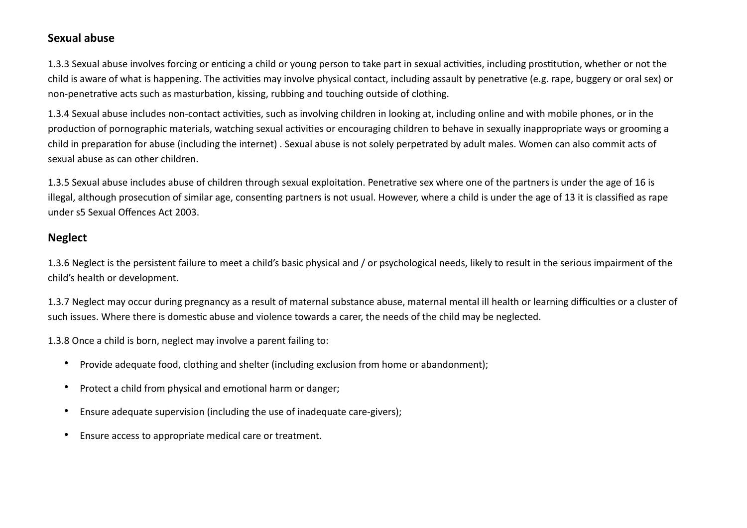#### **Sexual abuse**

1.3.3 Sexual abuse involves forcing or enticing a child or young person to take part in sexual activities, including prostitution, whether or not the child is aware of what is happening. The activities may involve physical contact, including assault by penetrative (e.g. rape, buggery or oral sex) or non-penetrative acts such as masturbation, kissing, rubbing and touching outside of clothing.

1.3.4 Sexual abuse includes non-contact activities, such as involving children in looking at, including online and with mobile phones, or in the production of pornographic materials, watching sexual activities or encouraging children to behave in sexually inappropriate ways or grooming a child in preparation for abuse (including the internet) . Sexual abuse is not solely perpetrated by adult males. Women can also commit acts of sexual abuse as can other children.

1.3.5 Sexual abuse includes abuse of children through sexual exploitation. Penetrative sex where one of the partners is under the age of 16 is illegal, although prosecution of similar age, consenting partners is not usual. However, where a child is under the age of 13 it is classified as rape under s5 Sexual Offences Act 2003.

#### **Neglect**

1.3.6 Neglect is the persistent failure to meet a child's basic physical and / or psychological needs, likely to result in the serious impairment of the child's health or development.

1.3.7 Neglect may occur during pregnancy as a result of maternal substance abuse, maternal mental ill health or learning difficulties or a cluster of such issues. Where there is domestic abuse and violence towards a carer, the needs of the child may be neglected.

1.3.8 Once a child is born, neglect may involve a parent failing to:

- Provide adequate food, clothing and shelter (including exclusion from home or abandonment);
- Protect a child from physical and emotional harm or danger;
- Ensure adequate supervision (including the use of inadequate care-givers);
- Ensure access to appropriate medical care or treatment.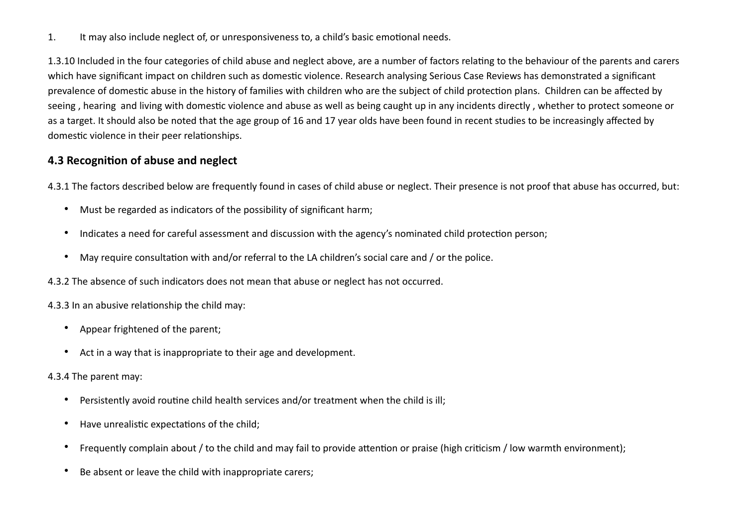1. It may also include neglect of, or unresponsiveness to, a child's basic emotional needs.

1.3.10 Included in the four categories of child abuse and neglect above, are a number of factors relating to the behaviour of the parents and carers which have significant impact on children such as domestic violence. Research analysing Serious Case Reviews has demonstrated a significant prevalence of domestic abuse in the history of families with children who are the subject of child protection plans. Children can be affected by seeing , hearing and living with domestic violence and abuse as well as being caught up in any incidents directly , whether to protect someone or as a target. It should also be noted that the age group of 16 and 17 year olds have been found in recent studies to be increasingly affected by domestic violence in their peer relationships.

## **4.3 Recognition of abuse and neglect**

4.3.1 The factors described below are frequently found in cases of child abuse or neglect. Their presence is not proof that abuse has occurred, but:

- Must be regarded as indicators of the possibility of significant harm;
- Indicates a need for careful assessment and discussion with the agency's nominated child protection person;
- May require consultation with and/or referral to the LA children's social care and / or the police.

4.3.2 The absence of such indicators does not mean that abuse or neglect has not occurred.

4.3.3 In an abusive relationship the child may:

- Appear frightened of the parent;
- Act in a way that is inappropriate to their age and development.

4.3.4 The parent may:

- Persistently avoid routine child health services and/or treatment when the child is ill;
- Have unrealistic expectations of the child;
- Frequently complain about / to the child and may fail to provide attention or praise (high criticism / low warmth environment);
- Be absent or leave the child with inappropriate carers;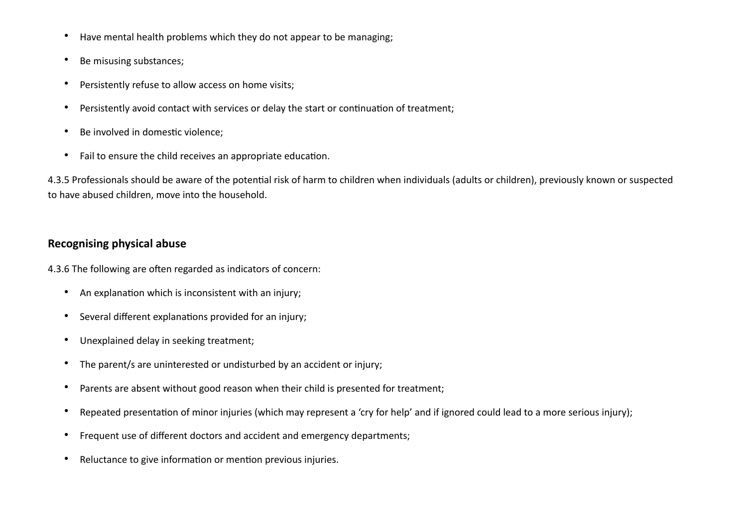- Have mental health problems which they do not appear to be managing;
- Be misusing substances;
- Persistently refuse to allow access on home visits;
- Persistently avoid contact with services or delay the start or continuation of treatment;
- Be involved in domestic violence;
- Fail to ensure the child receives an appropriate education.

4.3.5 Professionals should be aware of the potential risk of harm to children when individuals (adults or children), previously known or suspected to have abused children, move into the household.

#### **Recognising physical abuse**

4.3.6 The following are often regarded as indicators of concern:

- An explanation which is inconsistent with an injury;
- Several different explanations provided for an injury;
- Unexplained delay in seeking treatment;
- The parent/s are uninterested or undisturbed by an accident or injury;
- Parents are absent without good reason when their child is presented for treatment;
- Repeated presentation of minor injuries (which may represent a 'cry for help' and if ignored could lead to a more serious injury);
- Frequent use of different doctors and accident and emergency departments;
- Reluctance to give information or mention previous injuries.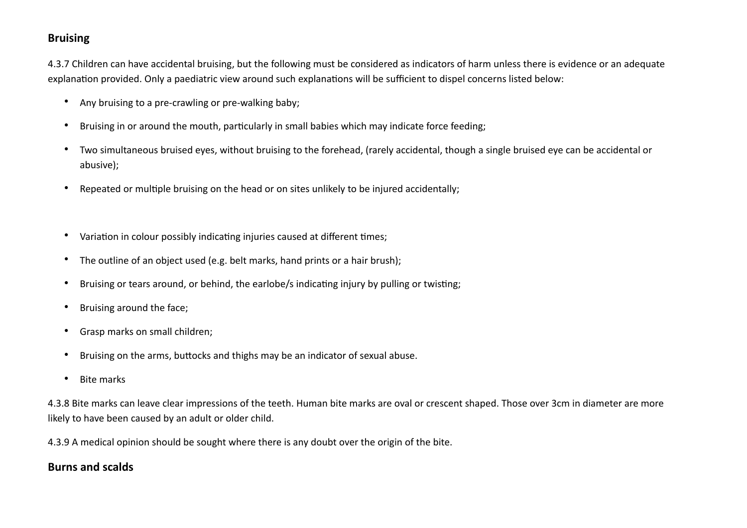#### **Bruising**

4.3.7 Children can have accidental bruising, but the following must be considered as indicators of harm unless there is evidence or an adequate explanation provided. Only a paediatric view around such explanations will be sufficient to dispel concerns listed below:

- Any bruising to a pre-crawling or pre-walking baby;
- Bruising in or around the mouth, particularly in small babies which may indicate force feeding;
- Two simultaneous bruised eyes, without bruising to the forehead, (rarely accidental, though a single bruised eye can be accidental or abusive);
- Repeated or multiple bruising on the head or on sites unlikely to be injured accidentally;
- Variation in colour possibly indicating injuries caused at different times;
- The outline of an object used (e.g. belt marks, hand prints or a hair brush);
- Bruising or tears around, or behind, the earlobe/s indicating injury by pulling or twisting;
- Bruising around the face;
- Grasp marks on small children;
- Bruising on the arms, buttocks and thighs may be an indicator of sexual abuse.
- Bite marks

4.3.8 Bite marks can leave clear impressions of the teeth. Human bite marks are oval or crescent shaped. Those over 3cm in diameter are more likely to have been caused by an adult or older child.

4.3.9 A medical opinion should be sought where there is any doubt over the origin of the bite.

## **Burns and scalds**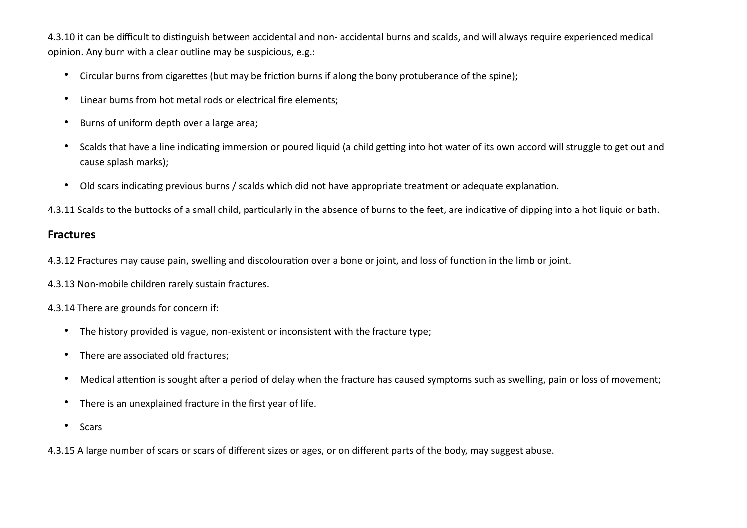4.3.10 it can be difficult to distinguish between accidental and non- accidental burns and scalds, and will always require experienced medical opinion. Any burn with a clear outline may be suspicious, e.g.:

- Circular burns from cigarettes (but may be friction burns if along the bony protuberance of the spine);
- Linear burns from hot metal rods or electrical fire elements;
- Burns of uniform depth over a large area;
- Scalds that have a line indicating immersion or poured liquid (a child getting into hot water of its own accord will struggle to get out and cause splash marks);
- Old scars indicating previous burns / scalds which did not have appropriate treatment or adequate explanation.

4.3.11 Scalds to the buttocks of a small child, particularly in the absence of burns to the feet, are indicative of dipping into a hot liquid or bath.

#### **Fractures**

4.3.12 Fractures may cause pain, swelling and discolouration over a bone or joint, and loss of function in the limb or joint.

4.3.13 Non-mobile children rarely sustain fractures.

4.3.14 There are grounds for concern if:

- The history provided is vague, non-existent or inconsistent with the fracture type;
- There are associated old fractures;
- Medical attention is sought after a period of delay when the fracture has caused symptoms such as swelling, pain or loss of movement;
- There is an unexplained fracture in the first year of life.
- Scars

4.3.15 A large number of scars or scars of different sizes or ages, or on different parts of the body, may suggest abuse.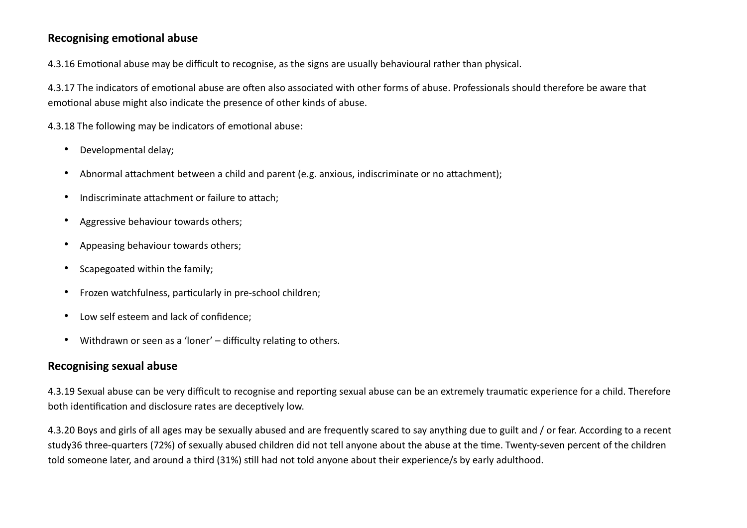#### **Recognising emotional abuse**

4.3.16 Emotional abuse may be difficult to recognise, as the signs are usually behavioural rather than physical.

4.3.17 The indicators of emotional abuse are often also associated with other forms of abuse. Professionals should therefore be aware that emotional abuse might also indicate the presence of other kinds of abuse.

4.3.18 The following may be indicators of emotional abuse:

- Developmental delay;
- Abnormal attachment between a child and parent (e.g. anxious, indiscriminate or no attachment);
- Indiscriminate attachment or failure to attach;
- Aggressive behaviour towards others;
- Appeasing behaviour towards others;
- Scapegoated within the family;
- Frozen watchfulness, particularly in pre-school children;
- Low self esteem and lack of confidence;
- Withdrawn or seen as a 'loner' difficulty relating to others.

#### **Recognising sexual abuse**

4.3.19 Sexual abuse can be very difficult to recognise and reporting sexual abuse can be an extremely traumatic experience for a child. Therefore both identification and disclosure rates are deceptively low.

4.3.20 Boys and girls of all ages may be sexually abused and are frequently scared to say anything due to guilt and / or fear. According to a recent study36 three-quarters (72%) of sexually abused children did not tell anyone about the abuse at the time. Twenty-seven percent of the children told someone later, and around a third (31%) still had not told anyone about their experience/s by early adulthood.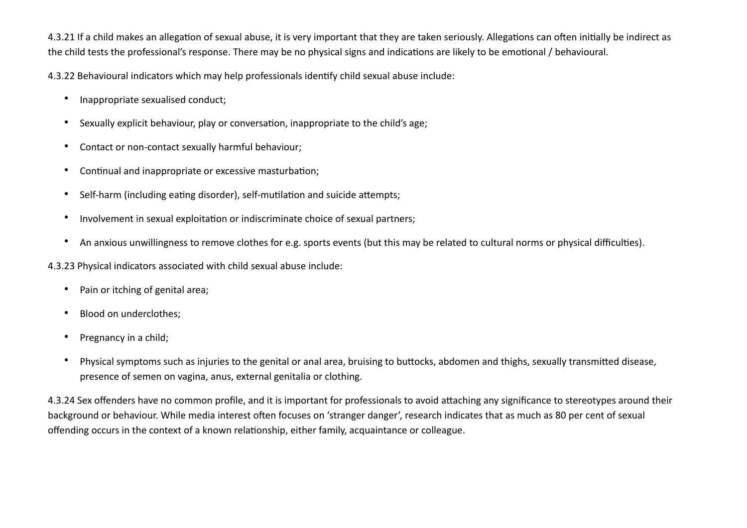4.3.21 If a child makes an allegation of sexual abuse, it is very important that they are taken seriously. Allegations can often initially be indirect as the child tests the professional's response. There may be no physical signs and indications are likely to be emotional / behavioural.

4.3.22 Behavioural indicators which may help professionals identify child sexual abuse include:

- Inappropriate sexualised conduct;
- Sexually explicit behaviour, play or conversation, inappropriate to the child's age;
- Contact or non-contact sexually harmful behaviour;
- Continual and inappropriate or excessive masturbation;
- Self-harm (including eating disorder), self-mutilation and suicide attempts;
- Involvement in sexual exploitation or indiscriminate choice of sexual partners;
- An anxious unwillingness to remove clothes for e.g. sports events (but this may be related to cultural norms or physical difficulties).

4.3.23 Physical indicators associated with child sexual abuse include:

- Pain or itching of genital area;
- Blood on underclothes;
- Pregnancy in a child;
- Physical symptoms such as injuries to the genital or anal area, bruising to buttocks, abdomen and thighs, sexually transmitted disease, presence of semen on vagina, anus, external genitalia or clothing.

4.3.24 Sex offenders have no common profile, and it is important for professionals to avoid attaching any significance to stereotypes around their background or behaviour. While media interest often focuses on 'stranger danger', research indicates that as much as 80 per cent of sexual offending occurs in the context of a known relationship, either family, acquaintance or colleague.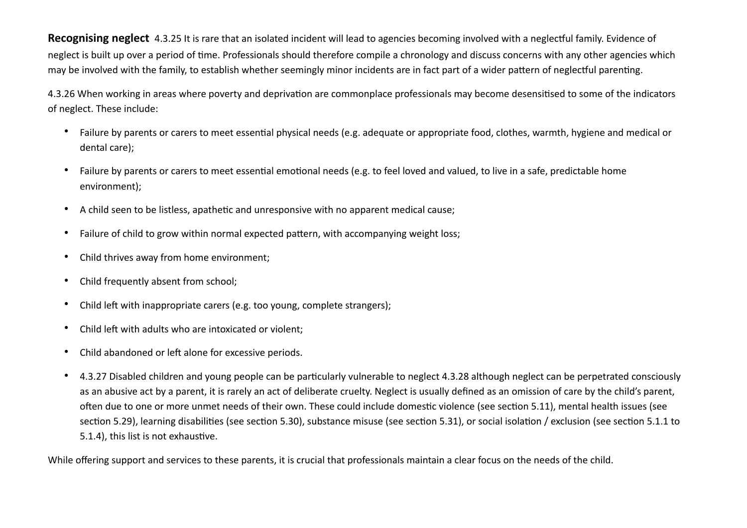**Recognising neglect** 4.3.25 It is rare that an isolated incident will lead to agencies becoming involved with a neglectful family. Evidence of neglect is built up over a period of time. Professionals should therefore compile a chronology and discuss concerns with any other agencies which may be involved with the family, to establish whether seemingly minor incidents are in fact part of a wider pattern of neglectful parenting.

4.3.26 When working in areas where poverty and deprivation are commonplace professionals may become desensitised to some of the indicators of neglect. These include:

- Failure by parents or carers to meet essential physical needs (e.g. adequate or appropriate food, clothes, warmth, hygiene and medical or dental care);
- Failure by parents or carers to meet essential emotional needs (e.g. to feel loved and valued, to live in a safe, predictable home environment);
- A child seen to be listless, apathetic and unresponsive with no apparent medical cause;
- Failure of child to grow within normal expected pattern, with accompanying weight loss;
- Child thrives away from home environment;
- Child frequently absent from school;
- Child left with inappropriate carers (e.g. too young, complete strangers);
- Child left with adults who are intoxicated or violent;
- Child abandoned or left alone for excessive periods.
- 4.3.27 Disabled children and young people can be particularly vulnerable to neglect 4.3.28 although neglect can be perpetrated consciously as an abusive act by a parent, it is rarely an act of deliberate cruelty. Neglect is usually defined as an omission of care by the child's parent, often due to one or more unmet needs of their own. These could include domestic violence (see section 5.11), mental health issues (see section 5.29), learning disabilities (see section 5.30), substance misuse (see section 5.31), or social isolation / exclusion (see section 5.1.1 to 5.1.4), this list is not exhaustive.

While offering support and services to these parents, it is crucial that professionals maintain a clear focus on the needs of the child.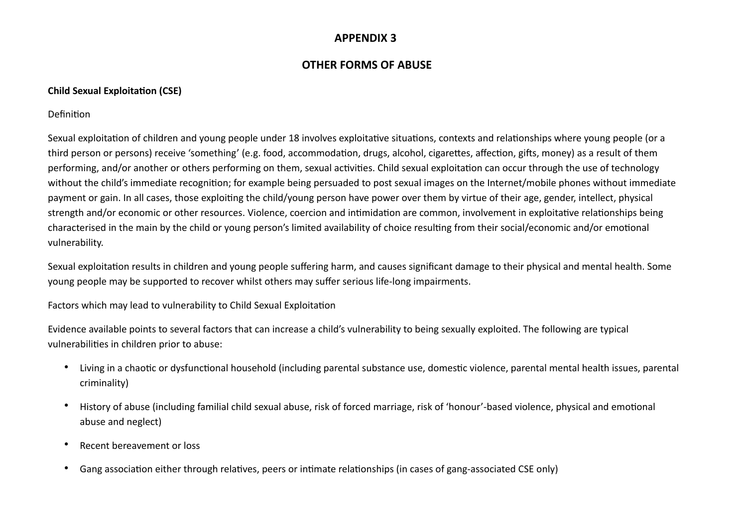#### **APPENDIX 3**

#### **OTHER FORMS OF ABUSE**

#### **Child Sexual Exploitation (CSE)**

Definition

Sexual exploitation of children and young people under 18 involves exploitative situations, contexts and relationships where young people (or a third person or persons) receive 'something' (e.g. food, accommodation, drugs, alcohol, cigarettes, affection, gifts, money) as a result of them performing, and/or another or others performing on them, sexual activities. Child sexual exploitation can occur through the use of technology without the child's immediate recognition; for example being persuaded to post sexual images on the Internet/mobile phones without immediate payment or gain. In all cases, those exploiting the child/young person have power over them by virtue of their age, gender, intellect, physical strength and/or economic or other resources. Violence, coercion and intimidation are common, involvement in exploitative relationships being characterised in the main by the child or young person's limited availability of choice resulting from their social/economic and/or emotional vulnerability.

Sexual exploitation results in children and young people suffering harm, and causes significant damage to their physical and mental health. Some young people may be supported to recover whilst others may suffer serious life-long impairments.

Factors which may lead to vulnerability to Child Sexual Exploitation

Evidence available points to several factors that can increase a child's vulnerability to being sexually exploited. The following are typical vulnerabilities in children prior to abuse:

- Living in a chaotic or dysfunctional household (including parental substance use, domestic violence, parental mental health issues, parental criminality)
- History of abuse (including familial child sexual abuse, risk of forced marriage, risk of 'honour'-based violence, physical and emotional abuse and neglect)
- Recent bereavement or loss
- Gang association either through relatives, peers or intimate relationships (in cases of gang-associated CSE only)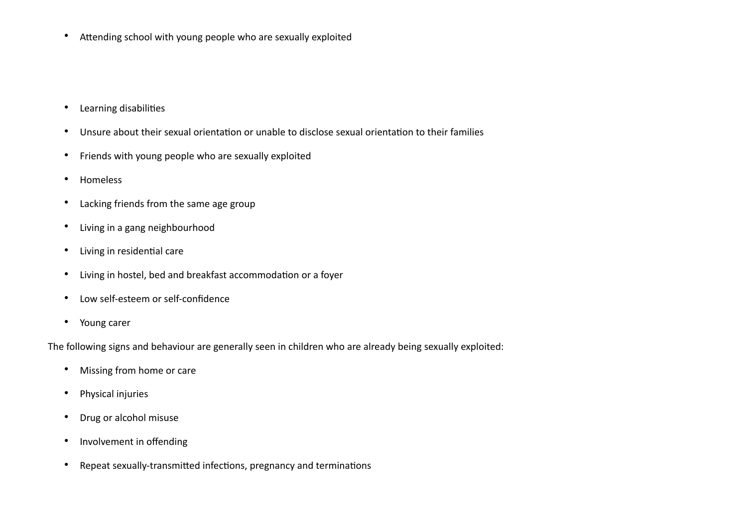• Attending school with young people who are sexually exploited

- Learning disabilities
- Unsure about their sexual orientation or unable to disclose sexual orientation to their families
- Friends with young people who are sexually exploited
- Homeless
- Lacking friends from the same age group
- Living in a gang neighbourhood
- Living in residential care
- Living in hostel, bed and breakfast accommodation or a foyer
- Low self-esteem or self-confidence
- Young carer

The following signs and behaviour are generally seen in children who are already being sexually exploited:

- Missing from home or care
- Physical injuries
- Drug or alcohol misuse
- Involvement in offending
- Repeat sexually-transmitted infections, pregnancy and terminations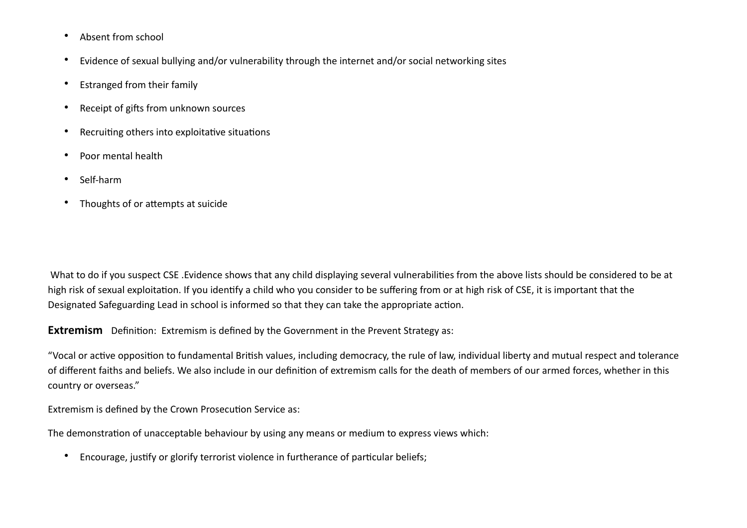- Absent from school
- Evidence of sexual bullying and/or vulnerability through the internet and/or social networking sites
- Estranged from their family
- Receipt of gifts from unknown sources
- Recruiting others into exploitative situations
- Poor mental health
- Self-harm
- Thoughts of or attempts at suicide

 What to do if you suspect CSE .Evidence shows that any child displaying several vulnerabilities from the above lists should be considered to be at high risk of sexual exploitation. If you identify a child who you consider to be suffering from or at high risk of CSE, it is important that the Designated Safeguarding Lead in school is informed so that they can take the appropriate action.

**Extremism** Definition: Extremism is defined by the Government in the Prevent Strategy as:

"Vocal or active opposition to fundamental British values, including democracy, the rule of law, individual liberty and mutual respect and tolerance of different faiths and beliefs. We also include in our definition of extremism calls for the death of members of our armed forces, whether in this country or overseas."

Extremism is defined by the Crown Prosecution Service as:

The demonstration of unacceptable behaviour by using any means or medium to express views which:

• Encourage, justify or glorify terrorist violence in furtherance of particular beliefs;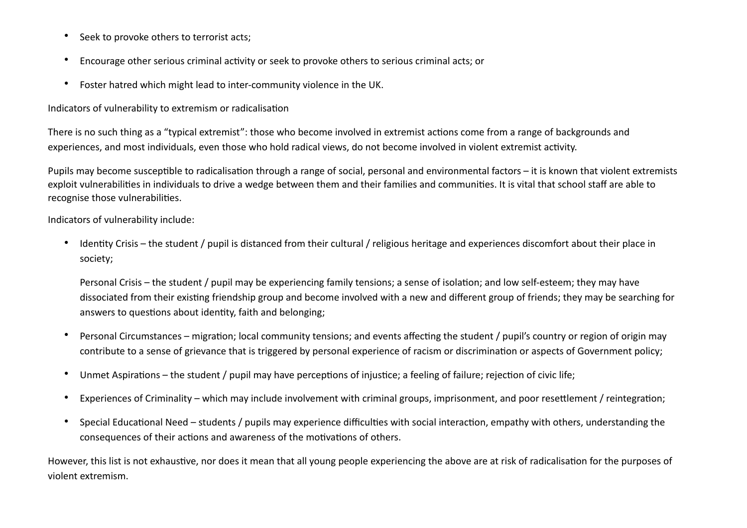- Seek to provoke others to terrorist acts;
- Encourage other serious criminal activity or seek to provoke others to serious criminal acts; or
- Foster hatred which might lead to inter-community violence in the UK.

Indicators of vulnerability to extremism or radicalisation

There is no such thing as a "typical extremist": those who become involved in extremist actions come from a range of backgrounds and experiences, and most individuals, even those who hold radical views, do not become involved in violent extremist activity.

Pupils may become susceptible to radicalisation through a range of social, personal and environmental factors – it is known that violent extremists exploit vulnerabilities in individuals to drive a wedge between them and their families and communities. It is vital that school staff are able to recognise those vulnerabilities.

Indicators of vulnerability include:

• Identity Crisis – the student / pupil is distanced from their cultural / religious heritage and experiences discomfort about their place in society;

Personal Crisis – the student / pupil may be experiencing family tensions; a sense of isolation; and low self-esteem; they may have dissociated from their existing friendship group and become involved with a new and different group of friends; they may be searching for answers to questions about identity, faith and belonging;

- Personal Circumstances migration; local community tensions; and events affecting the student / pupil's country or region of origin may contribute to a sense of grievance that is triggered by personal experience of racism or discrimination or aspects of Government policy;
- Unmet Aspirations the student / pupil may have perceptions of injustice; a feeling of failure; rejection of civic life;
- Experiences of Criminality which may include involvement with criminal groups, imprisonment, and poor resettlement / reintegration;
- Special Educational Need students / pupils may experience difficulties with social interaction, empathy with others, understanding the consequences of their actions and awareness of the motivations of others.

However, this list is not exhaustive, nor does it mean that all young people experiencing the above are at risk of radicalisation for the purposes of violent extremism.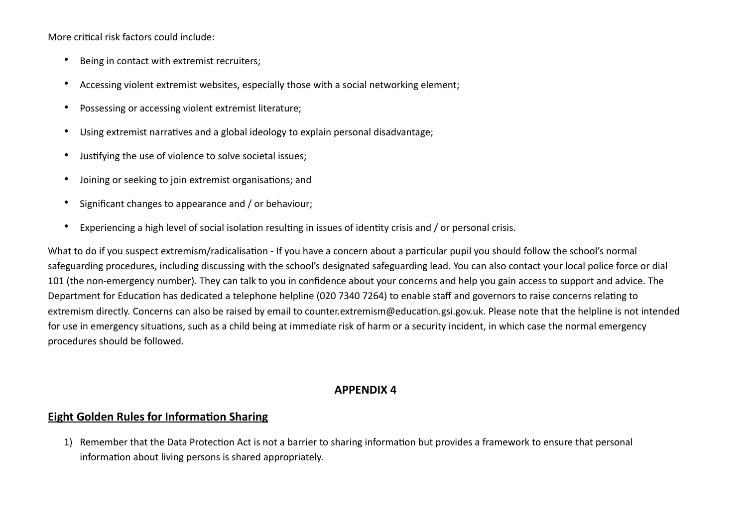More critical risk factors could include:

- Being in contact with extremist recruiters;
- Accessing violent extremist websites, especially those with a social networking element;
- Possessing or accessing violent extremist literature;
- Using extremist narratives and a global ideology to explain personal disadvantage;
- Justifying the use of violence to solve societal issues;
- Joining or seeking to join extremist organisations; and
- Significant changes to appearance and / or behaviour;
- Experiencing a high level of social isolation resulting in issues of identity crisis and / or personal crisis.

What to do if you suspect extremism/radicalisation - If you have a concern about a particular pupil you should follow the school's normal safeguarding procedures, including discussing with the school's designated safeguarding lead. You can also contact your local police force or dial 101 (the non-emergency number). They can talk to you in confidence about your concerns and help you gain access to support and advice. The Department for Education has dedicated a telephone helpline (020 7340 7264) to enable staff and governors to raise concerns relating to extremism directly. Concerns can also be raised by email to counter.extremism@education.gsi.gov.uk. Please note that the helpline is not intended for use in emergency situations, such as a child being at immediate risk of harm or a security incident, in which case the normal emergency procedures should be followed.

#### **APPENDIX 4**

#### **Eight Golden Rules for Information Sharing**

1) Remember that the Data Protection Act is not a barrier to sharing information but provides a framework to ensure that personal information about living persons is shared appropriately.